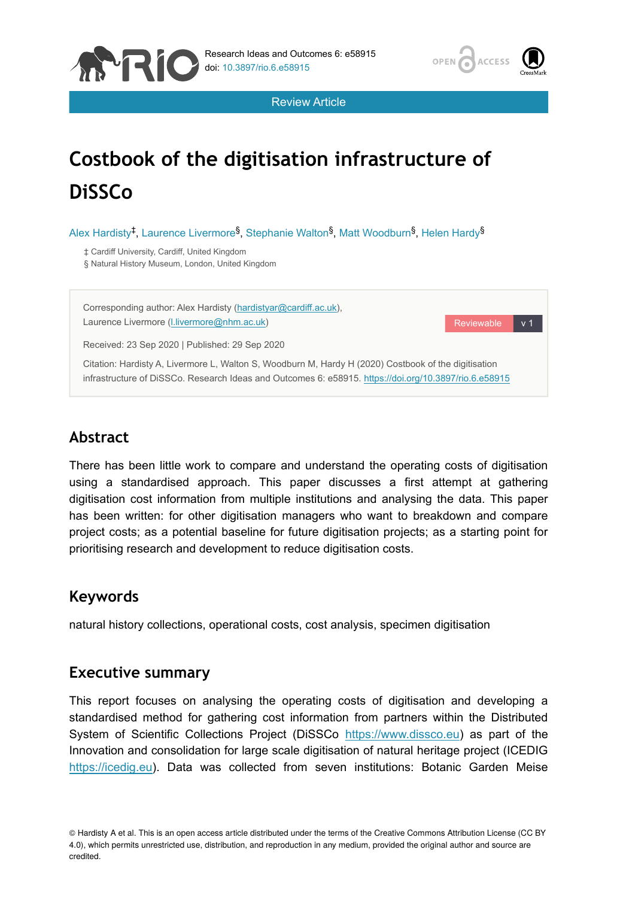



Reviewable

Review Article

# **Costbook of the digitisation infrastructure of DiSSCo**

Alex Hardisty<sup>‡</sup>, Laurence Livermore<sup>§</sup>, Stephanie Walton<sup>§</sup>, Matt Woodburn<sup>§</sup>, Helen Hardy<sup>§</sup>

‡ Cardiff University, Cardiff, United Kingdom

§ Natural History Museum, London, United Kingdom

Corresponding author: Alex Hardisty ([hardistyar@cardiff.ac.uk](mailto:hardistyar@cardiff.ac.uk)), Laurence Livermore [\(l.livermore@nhm.ac.uk](mailto:l.livermore@nhm.ac.uk))

Received: 23 Sep 2020 | Published: 29 Sep 2020

Citation: Hardisty A, Livermore L, Walton S, Woodburn M, Hardy H (2020) Costbook of the digitisation infrastructure of DiSSCo. Research Ideas and Outcomes 6: e58915. <https://doi.org/10.3897/rio.6.e58915>

# **Abstract**

There has been little work to compare and understand the operating costs of digitisation using a standardised approach. This paper discusses a first attempt at gathering digitisation cost information from multiple institutions and analysing the data. This paper has been written: for other digitisation managers who want to breakdown and compare project costs; as a potential baseline for future digitisation projects; as a starting point for prioritising research and development to reduce digitisation costs.

# **Keywords**

natural history collections, operational costs, cost analysis, specimen digitisation

# **Executive summary**

This report focuses on analysing the operating costs of digitisation and developing a standardised method for gathering cost information from partners within the Distributed System of Scientific Collections Project (DiSSCo [https://www.dissco.eu](https://www.dissco.eu/)) as part of the Innovation and consolidation for large scale digitisation of natural heritage project (ICEDIG [https://icedig.eu](https://icedig.eu/)). Data was collected from seven institutions: Botanic Garden Meise

© Hardisty A et al. This is an open access article distributed under the terms of the Creative Commons Attribution License (CC BY 4.0), which permits unrestricted use, distribution, and reproduction in any medium, provided the original author and source are credited.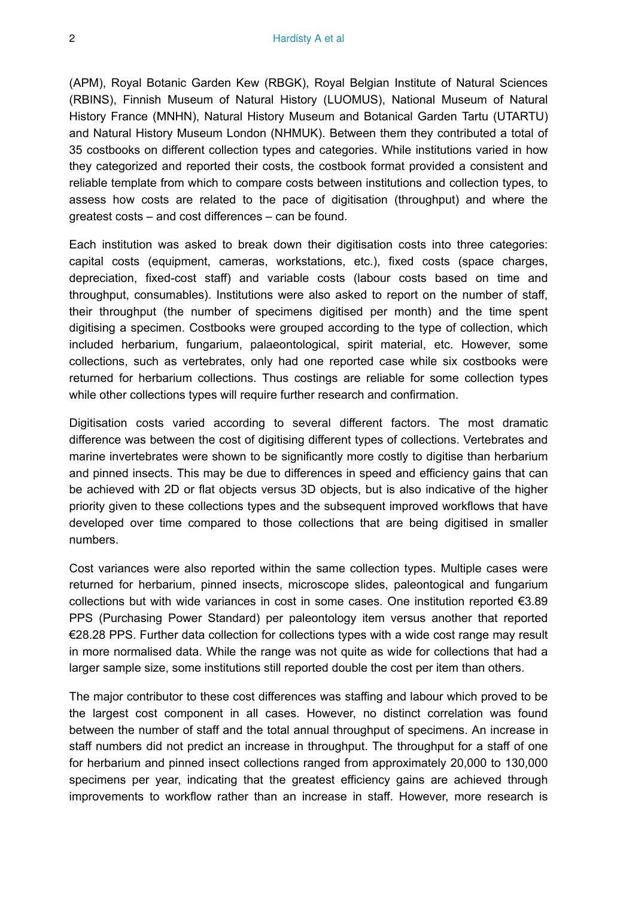(APM), Royal Botanic Garden Kew (RBGK), Royal Belgian Institute of Natural Sciences (RBINS), Finnish Museum of Natural History (LUOMUS), National Museum of Natural History France (MNHN), Natural History Museum and Botanical Garden Tartu (UTARTU) and Natural History Museum London (NHMUK). Between them they contributed a total of 35 costbooks on different collection types and categories. While institutions varied in how they categorized and reported their costs, the costbook format provided a consistent and reliable template from which to compare costs between institutions and collection types, to assess how costs are related to the pace of digitisation (throughput) and where the greatest costs – and cost differences – can be found.

Each institution was asked to break down their digitisation costs into three categories: capital costs (equipment, cameras, workstations, etc.), fixed costs (space charges, depreciation, fixed-cost staff) and variable costs (labour costs based on time and throughput, consumables). Institutions were also asked to report on the number of staff, their throughput (the number of specimens digitised per month) and the time spent digitising a specimen. Costbooks were grouped according to the type of collection, which included herbarium, fungarium, palaeontological, spirit material, etc. However, some collections, such as vertebrates, only had one reported case while six costbooks were returned for herbarium collections. Thus costings are reliable for some collection types while other collections types will require further research and confirmation.

Digitisation costs varied according to several different factors. The most dramatic difference was between the cost of digitising different types of collections. Vertebrates and marine invertebrates were shown to be significantly more costly to digitise than herbarium and pinned insects. This may be due to differences in speed and efficiency gains that can be achieved with 2D or flat objects versus 3D objects, but is also indicative of the higher priority given to these collections types and the subsequent improved workflows that have developed over time compared to those collections that are being digitised in smaller numbers.

Cost variances were also reported within the same collection types. Multiple cases were returned for herbarium, pinned insects, microscope slides, paleontogical and fungarium collections but with wide variances in cost in some cases. One institution reported €3.89 PPS (Purchasing Power Standard) per paleontology item versus another that reported €28.28 PPS. Further data collection for collections types with a wide cost range may result in more normalised data. While the range was not quite as wide for collections that had a larger sample size, some institutions still reported double the cost per item than others.

The major contributor to these cost differences was staffing and labour which proved to be the largest cost component in all cases. However, no distinct correlation was found between the number of staff and the total annual throughput of specimens. An increase in staff numbers did not predict an increase in throughput. The throughput for a staff of one for herbarium and pinned insect collections ranged from approximately 20,000 to 130,000 specimens per year, indicating that the greatest efficiency gains are achieved through improvements to workflow rather than an increase in staff. However, more research is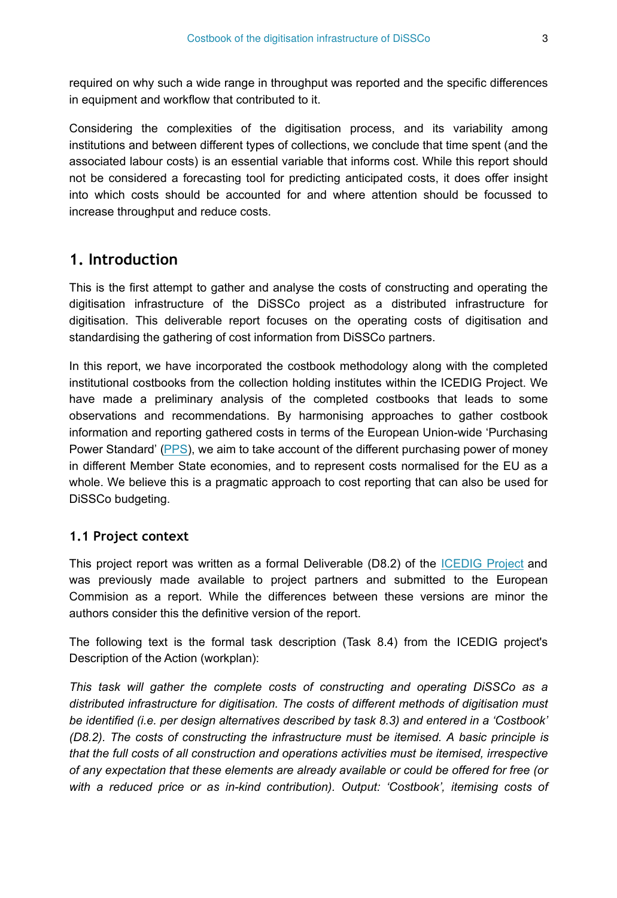required on why such a wide range in throughput was reported and the specific differences in equipment and workflow that contributed to it.

Considering the complexities of the digitisation process, and its variability among institutions and between different types of collections, we conclude that time spent (and the associated labour costs) is an essential variable that informs cost. While this report should not be considered a forecasting tool for predicting anticipated costs, it does offer insight into which costs should be accounted for and where attention should be focussed to increase throughput and reduce costs.

# **1. Introduction**

This is the first attempt to gather and analyse the costs of constructing and operating the digitisation infrastructure of the DiSSCo project as a distributed infrastructure for digitisation. This deliverable report focuses on the operating costs of digitisation and standardising the gathering of cost information from DiSSCo partners.

In this report, we have incorporated the costbook methodology along with the completed institutional costbooks from the collection holding institutes within the ICEDIG Project. We have made a preliminary analysis of the completed costbooks that leads to some observations and recommendations. By harmonising approaches to gather costbook information and reporting gathered costs in terms of the European Union-wide 'Purchasing Power Standard' [\(PPS](https://ec.europa.eu/eurostat/statistics-explained/index.php/Glossary:Purchasing_power_standard_(PPS))), we aim to take account of the different purchasing power of money in different Member State economies, and to represent costs normalised for the EU as a whole. We believe this is a pragmatic approach to cost reporting that can also be used for DiSSCo budgeting.

## **1.1 Project context**

This project report was written as a formal Deliverable (D8.2) of the [ICEDIG Project](https://icedig.eu/) and was previously made available to project partners and submitted to the European Commision as a report. While the differences between these versions are minor the authors consider this the definitive version of the report.

The following text is the formal task description (Task 8.4) from the ICEDIG project's Description of the Action (workplan):

*This task will gather the complete costs of constructing and operating DiSSCo as a distributed infrastructure for digitisation. The costs of different methods of digitisation must be identified (i.e. per design alternatives described by task 8.3) and entered in a 'Costbook' (D8.2). The costs of constructing the infrastructure must be itemised. A basic principle is that the full costs of all construction and operations activities must be itemised, irrespective of any expectation that these elements are already available or could be offered for free (or with a reduced price or as in-kind contribution). Output: 'Costbook', itemising costs of*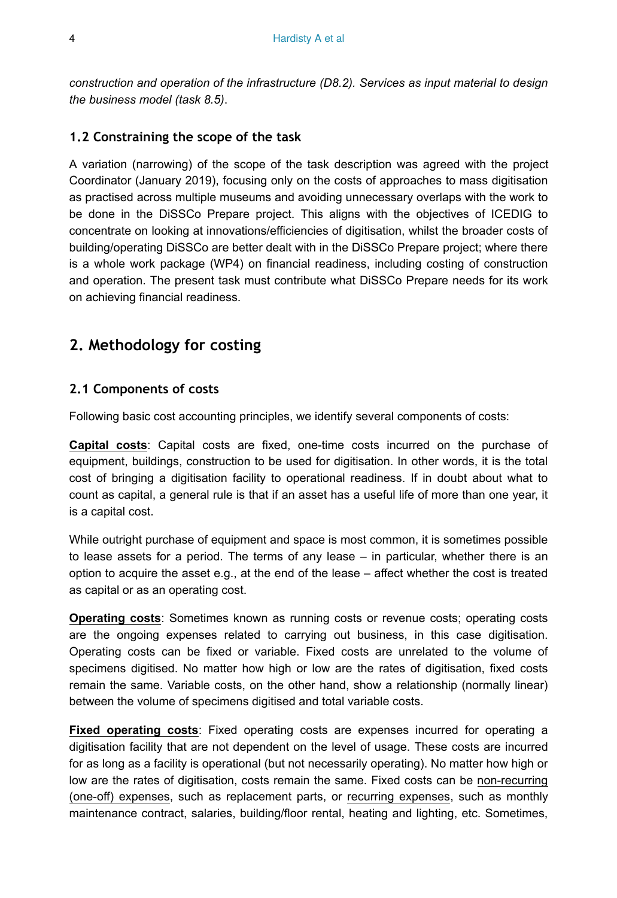*construction and operation of the infrastructure (D8.2). Services as input material to design the business model (task 8.5)*.

#### **1.2 Constraining the scope of the task**

A variation (narrowing) of the scope of the task description was agreed with the project Coordinator (January 2019), focusing only on the costs of approaches to mass digitisation as practised across multiple museums and avoiding unnecessary overlaps with the work to be done in the DiSSCo Prepare project. This aligns with the objectives of ICEDIG to concentrate on looking at innovations/efficiencies of digitisation, whilst the broader costs of building/operating DiSSCo are better dealt with in the DiSSCo Prepare project; where there is a whole work package (WP4) on financial readiness, including costing of construction and operation. The present task must contribute what DiSSCo Prepare needs for its work on achieving financial readiness.

# **2. Methodology for costing**

#### **2.1 Components of costs**

Following basic cost accounting principles, we identify several components of costs:

**Capital costs**: Capital costs are fixed, one-time costs incurred on the purchase of equipment, buildings, construction to be used for digitisation. In other words, it is the total cost of bringing a digitisation facility to operational readiness. If in doubt about what to count as capital, a general rule is that if an asset has a useful life of more than one year, it is a capital cost.

While outright purchase of equipment and space is most common, it is sometimes possible to lease assets for a period. The terms of any lease – in particular, whether there is an option to acquire the asset e.g., at the end of the lease – affect whether the cost is treated as capital or as an operating cost.

**Operating costs:** Sometimes known as running costs or revenue costs; operating costs are the ongoing expenses related to carrying out business, in this case digitisation. Operating costs can be fixed or variable. Fixed costs are unrelated to the volume of specimens digitised. No matter how high or low are the rates of digitisation, fixed costs remain the same. Variable costs, on the other hand, show a relationship (normally linear) between the volume of specimens digitised and total variable costs.

**Fixed operating costs**: Fixed operating costs are expenses incurred for operating a digitisation facility that are not dependent on the level of usage. These costs are incurred for as long as a facility is operational (but not necessarily operating). No matter how high or low are the rates of digitisation, costs remain the same. Fixed costs can be non-recurring (one-off) expenses, such as replacement parts, or recurring expenses, such as monthly maintenance contract, salaries, building/floor rental, heating and lighting, etc. Sometimes,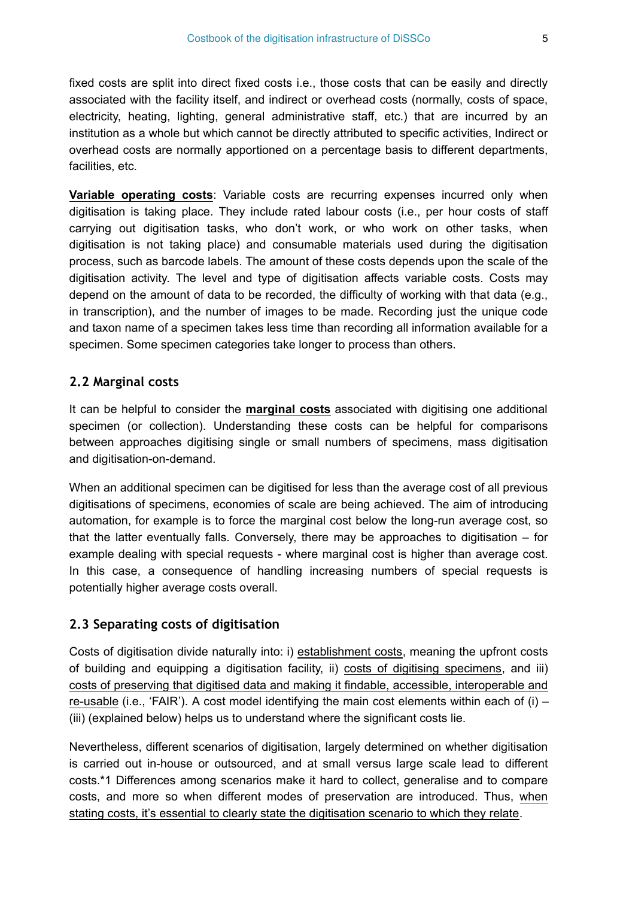fixed costs are split into direct fixed costs i.e., those costs that can be easily and directly associated with the facility itself, and indirect or overhead costs (normally, costs of space, electricity, heating, lighting, general administrative staff, etc.) that are incurred by an institution as a whole but which cannot be directly attributed to specific activities, Indirect or overhead costs are normally apportioned on a percentage basis to different departments, facilities, etc.

**Variable operating costs**: Variable costs are recurring expenses incurred only when digitisation is taking place. They include rated labour costs (i.e., per hour costs of staff carrying out digitisation tasks, who don't work, or who work on other tasks, when digitisation is not taking place) and consumable materials used during the digitisation process, such as barcode labels. The amount of these costs depends upon the scale of the digitisation activity. The level and type of digitisation affects variable costs. Costs may depend on the amount of data to be recorded, the difficulty of working with that data (e.g., in transcription), and the number of images to be made. Recording just the unique code and taxon name of a specimen takes less time than recording all information available for a specimen. Some specimen categories take longer to process than others.

#### **2.2 Marginal costs**

It can be helpful to consider the **marginal costs** associated with digitising one additional specimen (or collection). Understanding these costs can be helpful for comparisons between approaches digitising single or small numbers of specimens, mass digitisation and digitisation-on-demand.

When an additional specimen can be digitised for less than the average cost of all previous digitisations of specimens, economies of scale are being achieved. The aim of introducing automation, for example is to force the marginal cost below the long-run average cost, so that the latter eventually falls. Conversely, there may be approaches to digitisation – for example dealing with special requests - where marginal cost is higher than average cost. In this case, a consequence of handling increasing numbers of special requests is potentially higher average costs overall.

#### **2.3 Separating costs of digitisation**

Costs of digitisation divide naturally into: i) establishment costs, meaning the upfront costs of building and equipping a digitisation facility, ii) costs of digitising specimens, and iii) costs of preserving that digitised data and making it findable, accessible, interoperable and re-usable (i.e., 'FAIR'). A cost model identifying the main cost elements within each of (i) – (iii) (explained below) helps us to understand where the significant costs lie.

Nevertheless, different scenarios of digitisation, largely determined on whether digitisation is carried out in-house or outsourced, and at small versus large scale lead to different costs.\*1 Differences among scenarios make it hard to collect, generalise and to compare costs, and more so when different modes of preservation are introduced. Thus, when stating costs, it's essential to clearly state the digitisation scenario to which they relate.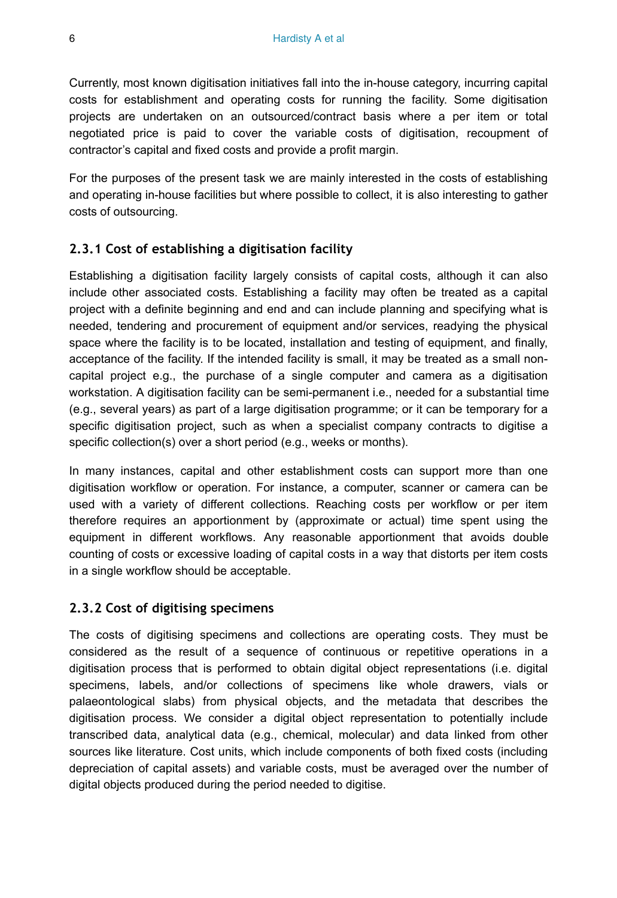Currently, most known digitisation initiatives fall into the in-house category, incurring capital costs for establishment and operating costs for running the facility. Some digitisation projects are undertaken on an outsourced/contract basis where a per item or total negotiated price is paid to cover the variable costs of digitisation, recoupment of contractor's capital and fixed costs and provide a profit margin.

For the purposes of the present task we are mainly interested in the costs of establishing and operating in-house facilities but where possible to collect, it is also interesting to gather costs of outsourcing.

## **2.3.1 Cost of establishing a digitisation facility**

Establishing a digitisation facility largely consists of capital costs, although it can also include other associated costs. Establishing a facility may often be treated as a capital project with a definite beginning and end and can include planning and specifying what is needed, tendering and procurement of equipment and/or services, readying the physical space where the facility is to be located, installation and testing of equipment, and finally, acceptance of the facility. If the intended facility is small, it may be treated as a small noncapital project e.g., the purchase of a single computer and camera as a digitisation workstation. A digitisation facility can be semi-permanent i.e., needed for a substantial time (e.g., several years) as part of a large digitisation programme; or it can be temporary for a specific digitisation project, such as when a specialist company contracts to digitise a specific collection(s) over a short period (e.g., weeks or months).

In many instances, capital and other establishment costs can support more than one digitisation workflow or operation. For instance, a computer, scanner or camera can be used with a variety of different collections. Reaching costs per workflow or per item therefore requires an apportionment by (approximate or actual) time spent using the equipment in different workflows. Any reasonable apportionment that avoids double counting of costs or excessive loading of capital costs in a way that distorts per item costs in a single workflow should be acceptable.

## **2.3.2 Cost of digitising specimens**

The costs of digitising specimens and collections are operating costs. They must be considered as the result of a sequence of continuous or repetitive operations in a digitisation process that is performed to obtain digital object representations (i.e. digital specimens, labels, and/or collections of specimens like whole drawers, vials or palaeontological slabs) from physical objects, and the metadata that describes the digitisation process. We consider a digital object representation to potentially include transcribed data, analytical data (e.g., chemical, molecular) and data linked from other sources like literature. Cost units, which include components of both fixed costs (including depreciation of capital assets) and variable costs, must be averaged over the number of digital objects produced during the period needed to digitise.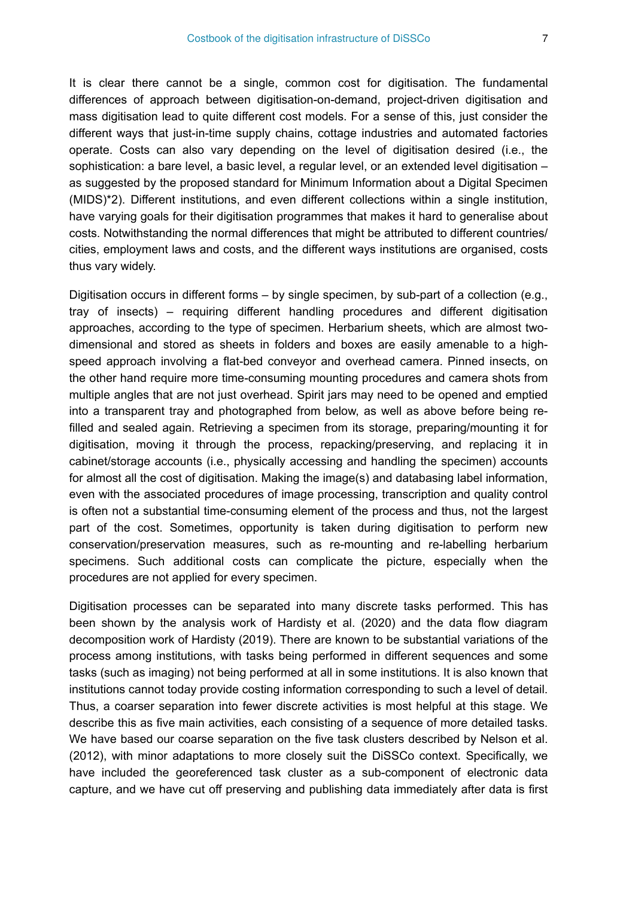It is clear there cannot be a single, common cost for digitisation. The fundamental differences of approach between digitisation-on-demand, project-driven digitisation and mass digitisation lead to quite different cost models. For a sense of this, just consider the different ways that just-in-time supply chains, cottage industries and automated factories operate. Costs can also vary depending on the level of digitisation desired (i.e., the sophistication: a bare level, a basic level, a regular level, or an extended level digitisation – as suggested by the proposed standard for Minimum Information about a Digital Specimen (MIDS)\*2). Different institutions, and even different collections within a single institution, have varying goals for their digitisation programmes that makes it hard to generalise about costs. Notwithstanding the normal differences that might be attributed to different countries/ cities, employment laws and costs, and the different ways institutions are organised, costs thus vary widely.

Digitisation occurs in different forms – by single specimen, by sub-part of a collection (e.g., tray of insects) – requiring different handling procedures and different digitisation approaches, according to the type of specimen. Herbarium sheets, which are almost twodimensional and stored as sheets in folders and boxes are easily amenable to a highspeed approach involving a flat-bed conveyor and overhead camera. Pinned insects, on the other hand require more time-consuming mounting procedures and camera shots from multiple angles that are not just overhead. Spirit jars may need to be opened and emptied into a transparent tray and photographed from below, as well as above before being refilled and sealed again. Retrieving a specimen from its storage, preparing/mounting it for digitisation, moving it through the process, repacking/preserving, and replacing it in cabinet/storage accounts (i.e., physically accessing and handling the specimen) accounts for almost all the cost of digitisation. Making the image(s) and databasing label information, even with the associated procedures of image processing, transcription and quality control is often not a substantial time-consuming element of the process and thus, not the largest part of the cost. Sometimes, opportunity is taken during digitisation to perform new conservation/preservation measures, such as re-mounting and re-labelling herbarium specimens. Such additional costs can complicate the picture, especially when the procedures are not applied for every specimen.

Digitisation processes can be separated into many discrete tasks performed. This has been shown by the analysis work of Hardisty et al. (2020) and the data flow diagram decomposition work of Hardisty (2019). There are known to be substantial variations of the process among institutions, with tasks being performed in different sequences and some tasks (such as imaging) not being performed at all in some institutions. It is also known that institutions cannot today provide costing information corresponding to such a level of detail. Thus, a coarser separation into fewer discrete activities is most helpful at this stage. We describe this as five main activities, each consisting of a sequence of more detailed tasks. We have based our coarse separation on the five task clusters described by Nelson et al. (2012), with minor adaptations to more closely suit the DiSSCo context. Specifically, we have included the georeferenced task cluster as a sub-component of electronic data capture, and we have cut off preserving and publishing data immediately after data is first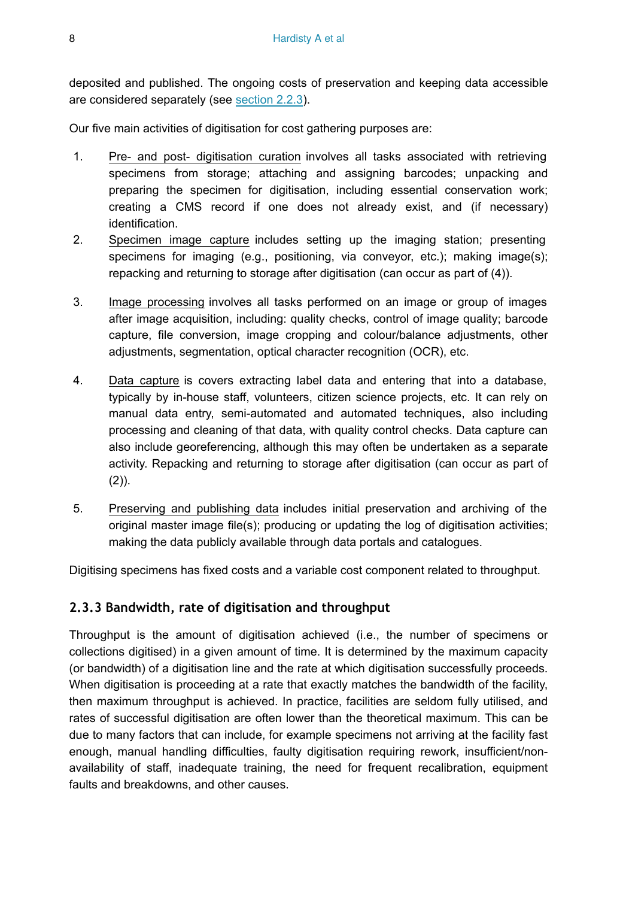deposited and published. The ongoing costs of preservation and keeping data accessible are considered separately (see section 2.2.3).

Our five main activities of digitisation for cost gathering purposes are:

- 1. Pre- and post- digitisation curation involves all tasks associated with retrieving specimens from storage; attaching and assigning barcodes; unpacking and preparing the specimen for digitisation, including essential conservation work; creating a CMS record if one does not already exist, and (if necessary) identification.
- 2. Specimen image capture includes setting up the imaging station; presenting specimens for imaging (e.g., positioning, via conveyor, etc.); making image(s); repacking and returning to storage after digitisation (can occur as part of (4)).
- 3. Image processing involves all tasks performed on an image or group of images after image acquisition, including: quality checks, control of image quality; barcode capture, file conversion, image cropping and colour/balance adjustments, other adjustments, segmentation, optical character recognition (OCR), etc.
- 4. Data capture is covers extracting label data and entering that into a database, typically by in-house staff, volunteers, citizen science projects, etc. It can rely on manual data entry, semi-automated and automated techniques, also including processing and cleaning of that data, with quality control checks. Data capture can also include georeferencing, although this may often be undertaken as a separate activity. Repacking and returning to storage after digitisation (can occur as part of  $(2)$ ).
- 5. Preserving and publishing data includes initial preservation and archiving of the original master image file(s); producing or updating the log of digitisation activities; making the data publicly available through data portals and catalogues.

Digitising specimens has fixed costs and a variable cost component related to throughput.

#### **2.3.3 Bandwidth, rate of digitisation and throughput**

Throughput is the amount of digitisation achieved (i.e., the number of specimens or collections digitised) in a given amount of time. It is determined by the maximum capacity (or bandwidth) of a digitisation line and the rate at which digitisation successfully proceeds. When digitisation is proceeding at a rate that exactly matches the bandwidth of the facility. then maximum throughput is achieved. In practice, facilities are seldom fully utilised, and rates of successful digitisation are often lower than the theoretical maximum. This can be due to many factors that can include, for example specimens not arriving at the facility fast enough, manual handling difficulties, faulty digitisation requiring rework, insufficient/nonavailability of staff, inadequate training, the need for frequent recalibration, equipment faults and breakdowns, and other causes.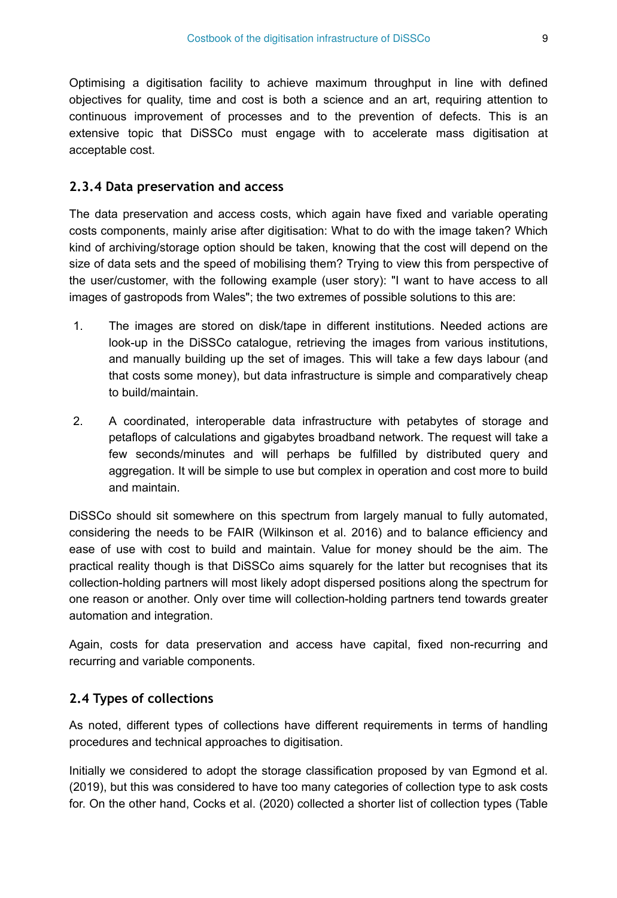Optimising a digitisation facility to achieve maximum throughput in line with defined objectives for quality, time and cost is both a science and an art, requiring attention to continuous improvement of processes and to the prevention of defects. This is an extensive topic that DiSSCo must engage with to accelerate mass digitisation at acceptable cost.

#### **2.3.4 Data preservation and access**

The data preservation and access costs, which again have fixed and variable operating costs components, mainly arise after digitisation: What to do with the image taken? Which kind of archiving/storage option should be taken, knowing that the cost will depend on the size of data sets and the speed of mobilising them? Trying to view this from perspective of the user/customer, with the following example (user story): "I want to have access to all images of gastropods from Wales"; the two extremes of possible solutions to this are:

- 1. The images are stored on disk/tape in different institutions. Needed actions are look-up in the DiSSCo catalogue, retrieving the images from various institutions, and manually building up the set of images. This will take a few days labour (and that costs some money), but data infrastructure is simple and comparatively cheap to build/maintain.
- 2. A coordinated, interoperable data infrastructure with petabytes of storage and petaflops of calculations and gigabytes broadband network. The request will take a few seconds/minutes and will perhaps be fulfilled by distributed query and aggregation. It will be simple to use but complex in operation and cost more to build and maintain.

DiSSCo should sit somewhere on this spectrum from largely manual to fully automated, considering the needs to be FAIR (Wilkinson et al. 2016) and to balance efficiency and ease of use with cost to build and maintain. Value for money should be the aim. The practical reality though is that DiSSCo aims squarely for the latter but recognises that its collection-holding partners will most likely adopt dispersed positions along the spectrum for one reason or another. Only over time will collection-holding partners tend towards greater automation and integration.

Again, costs for data preservation and access have capital, fixed non-recurring and recurring and variable components.

#### **2.4 Types of collections**

As noted, different types of collections have different requirements in terms of handling procedures and technical approaches to digitisation.

Initially we considered to adopt the storage classification proposed by van Egmond et al. (2019), but this was considered to have too many categories of collection type to ask costs for. On the other hand, Cocks et al. (2020) collected a shorter list of collection types (Table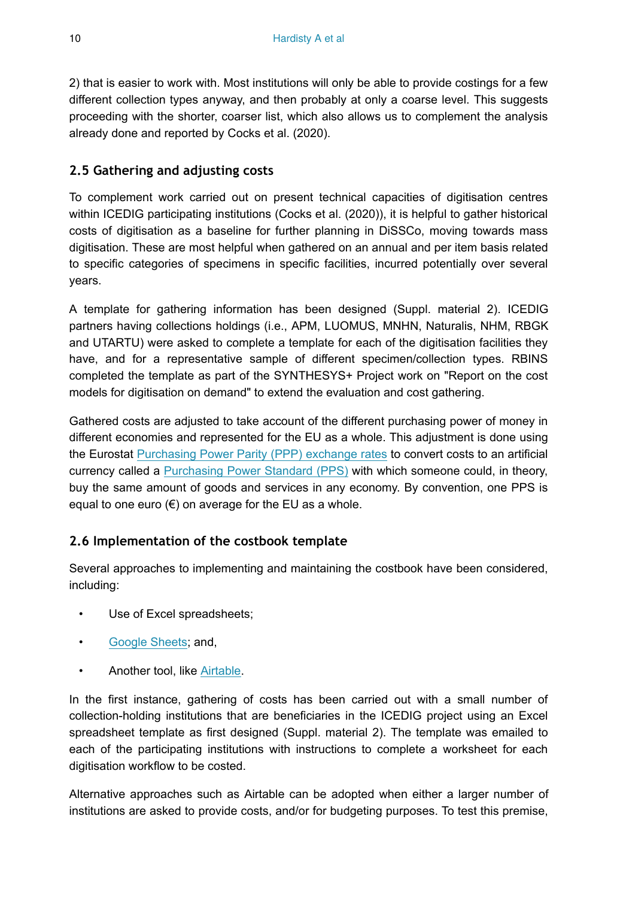2) that is easier to work with. Most institutions will only be able to provide costings for a few different collection types anyway, and then probably at only a coarse level. This suggests proceeding with the shorter, coarser list, which also allows us to complement the analysis already done and reported by Cocks et al. (2020).

## **2.5 Gathering and adjusting costs**

To complement work carried out on present technical capacities of digitisation centres within ICEDIG participating institutions (Cocks et al. (2020)), it is helpful to gather historical costs of digitisation as a baseline for further planning in DiSSCo, moving towards mass digitisation. These are most helpful when gathered on an annual and per item basis related to specific categories of specimens in specific facilities, incurred potentially over several years.

A template for gathering information has been designed (Suppl. material 2). ICEDIG partners having collections holdings (i.e., APM, LUOMUS, MNHN, Naturalis, NHM, RBGK and UTARTU) were asked to complete a template for each of the digitisation facilities they have, and for a representative sample of different specimen/collection types. RBINS completed the template as part of the SYNTHESYS+ Project work on "Report on the cost models for digitisation on demand" to extend the evaluation and cost gathering.

Gathered costs are adjusted to take account of the different purchasing power of money in different economies and represented for the EU as a whole. This adjustment is done using the Eurostat [Purchasing Power Parity \(PPP\) exchange rates](https://ec.europa.eu/eurostat/tgm/table.do?tab=table&init=1&language=en&pcode=tec00120&plugin=1) to convert costs to an artificial currency called a [Purchasing Power Standard \(PPS\)](https://ec.europa.eu/eurostat/statistics-explained/index.php/Glossary:Purchasing_power_standard_(PPS)) with which someone could, in theory, buy the same amount of goods and services in any economy. By convention, one PPS is equal to one euro  $(€)$  on average for the EU as a whole.

## <span id="page-9-0"></span>**2.6 Implementation of the costbook template**

Several approaches to implementing and maintaining the costbook have been considered, including:

- Use of Excel spreadsheets;
- [Google Sheets;](https://www.google.com/sheets/about/) and,
- Another tool, like [Airtable](https://airtable.com/).

In the first instance, gathering of costs has been carried out with a small number of collection-holding institutions that are beneficiaries in the ICEDIG project using an Excel spreadsheet template as first designed (Suppl. material 2). The template was emailed to each of the participating institutions with instructions to complete a worksheet for each digitisation workflow to be costed.

Alternative approaches such as Airtable can be adopted when either a larger number of institutions are asked to provide costs, and/or for budgeting purposes. To test this premise,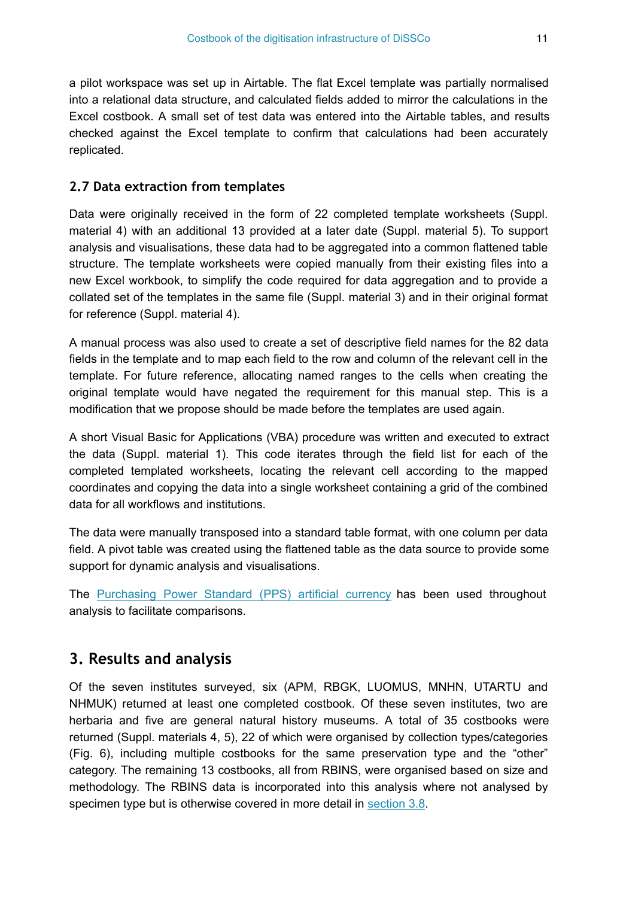a pilot workspace was set up in Airtable. The flat Excel template was partially normalised into a relational data structure, and calculated fields added to mirror the calculations in the Excel costbook. A small set of test data was entered into the Airtable tables, and results checked against the Excel template to confirm that calculations had been accurately replicated.

#### **2.7 Data extraction from templates**

Data were originally received in the form of 22 completed template worksheets (Suppl. material 4) with an additional 13 provided at a later date (Suppl. material 5). To support analysis and visualisations, these data had to be aggregated into a common flattened table structure. The template worksheets were copied manually from their existing files into a new Excel workbook, to simplify the code required for data aggregation and to provide a collated set of the templates in the same file (Suppl. material 3) and in their original format for reference (Suppl. material 4).

A manual process was also used to create a set of descriptive field names for the 82 data fields in the template and to map each field to the row and column of the relevant cell in the template. For future reference, allocating named ranges to the cells when creating the original template would have negated the requirement for this manual step. This is a modification that we propose should be made before the templates are used again.

A short Visual Basic for Applications (VBA) procedure was written and executed to extract the data (Suppl. material 1). This code iterates through the field list for each of the completed templated worksheets, locating the relevant cell according to the mapped coordinates and copying the data into a single worksheet containing a grid of the combined data for all workflows and institutions.

The data were manually transposed into a standard table format, with one column per data field. A pivot table was created using the flattened table as the data source to provide some support for dynamic analysis and visualisations.

The [Purchasing Power Standard \(PPS\) artificial currency](https://ec.europa.eu/eurostat/statistics-explained/index.php/Glossary:Purchasing_power_standard_(PPS)) has been used throughout analysis to facilitate comparisons.

# **3. Results and analysis**

Of the seven institutes surveyed, six (APM, RBGK, LUOMUS, MNHN, UTARTU and NHMUK) returned at least one completed costbook. Of these seven institutes, two are herbaria and five are general natural history museums. A total of 35 costbooks were returned (Suppl. materials 4, 5), 22 of which were organised by collection types/categories (Fig. 6), including multiple costbooks for the same preservation type and the "other" category. The remaining 13 costbooks, all from RBINS, were organised based on size and methodology. The RBINS data is incorporated into this analysis where not analysed by specimen type but is otherwise covered in more detail in [section 3.8](#page-23-0).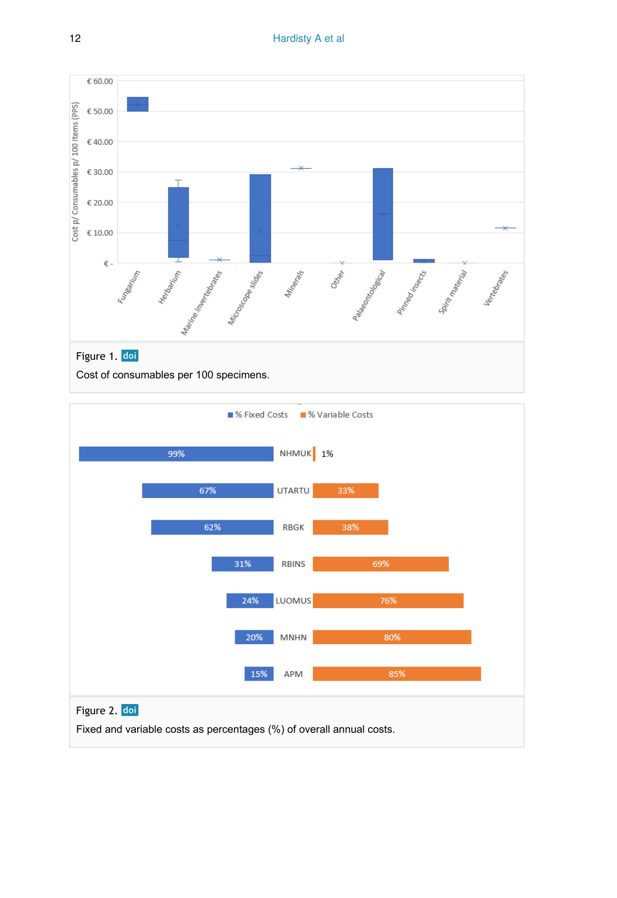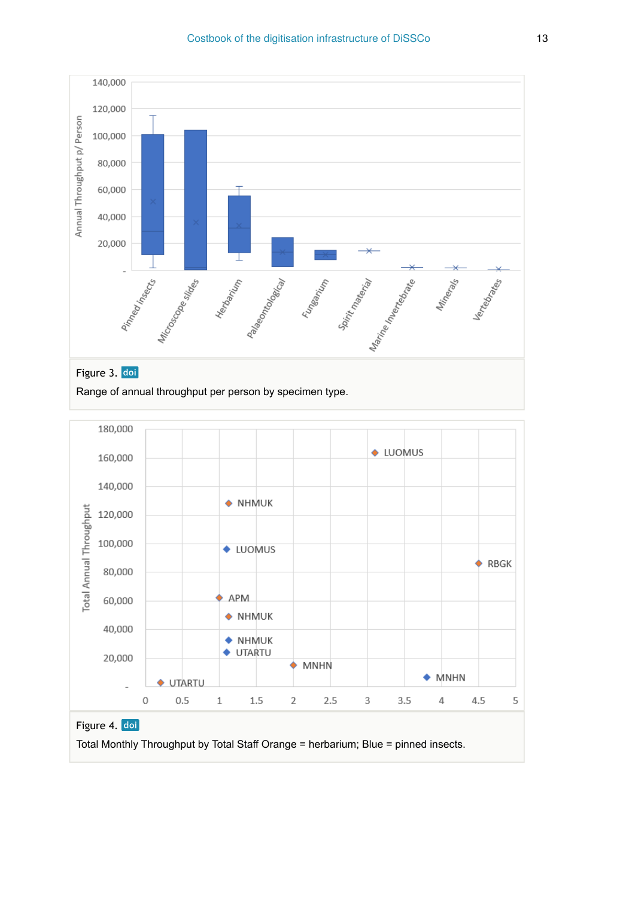



Total Monthly Throughput by Total Staff Orange = herbarium; Blue = pinned insects.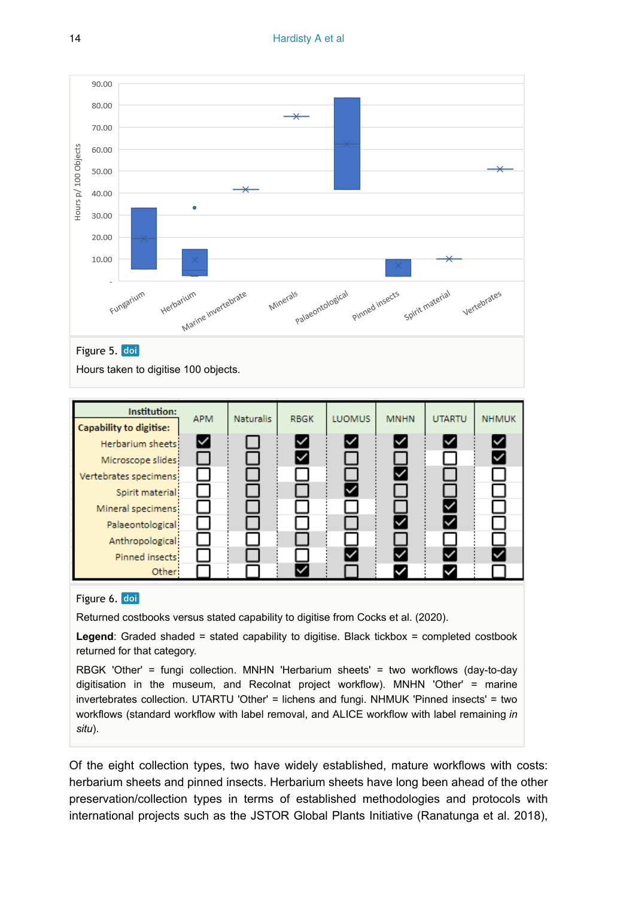

#### Figure 6. doi

Other

Returned costbooks versus stated capability to digitise from Cocks et al. (2020).

**Legend**: Graded shaded = stated capability to digitise. Black tickbox = completed costbook returned for that category.

RBGK 'Other' = fungi collection. MNHN 'Herbarium sheets' = two workflows (day-to-day digitisation in the museum, and Recolnat project workflow). MNHN 'Other' = marine invertebrates collection. UTARTU 'Other' = lichens and fungi. NHMUK 'Pinned insects' = two workflows (standard workflow with label removal, and ALICE workflow with label remaining *in situ*).

Of the eight collection types, two have widely established, mature workflows with costs: herbarium sheets and pinned insects. Herbarium sheets have long been ahead of the other preservation/collection types in terms of established methodologies and protocols with international projects such as the JSTOR Global Plants Initiative (Ranatunga et al. 2018),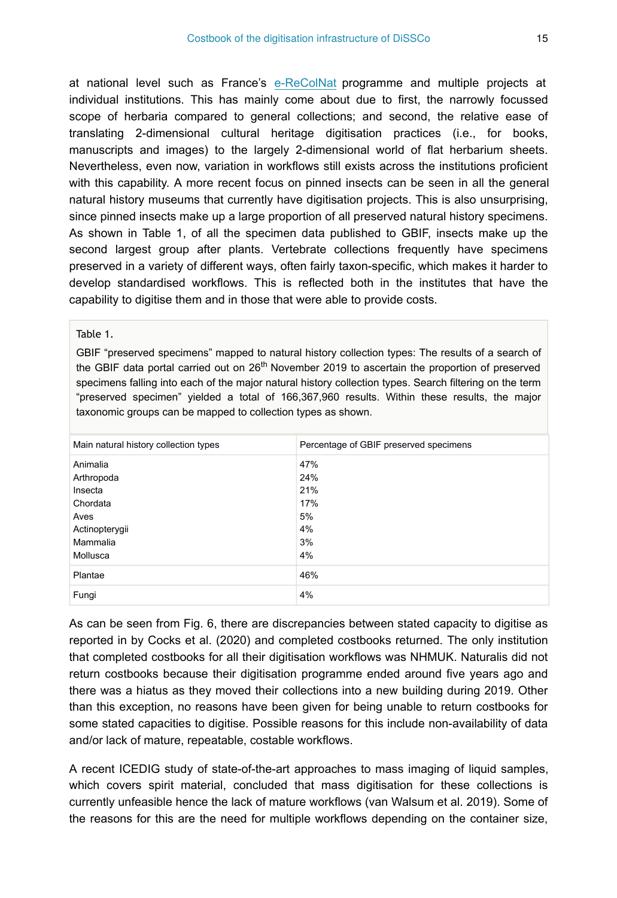at national level such as France's [e-ReColNat](https://www.recolnat.org/en/) programme and multiple projects at individual institutions. This has mainly come about due to first, the narrowly focussed scope of herbaria compared to general collections; and second, the relative ease of translating 2-dimensional cultural heritage digitisation practices (i.e., for books, manuscripts and images) to the largely 2-dimensional world of flat herbarium sheets. Nevertheless, even now, variation in workflows still exists across the institutions proficient with this capability. A more recent focus on pinned insects can be seen in all the general natural history museums that currently have digitisation projects. This is also unsurprising, since pinned insects make up a large proportion of all preserved natural history specimens. As shown in Table 1, of all the specimen data published to GBIF, insects make up the second largest group after plants. Vertebrate collections frequently have specimens preserved in a variety of different ways, often fairly taxon-specific, which makes it harder to develop standardised workflows. This is reflected both in the institutes that have the capability to digitise them and in those that were able to provide costs.

#### Table 1.

GBIF "preserved specimens" mapped to natural history collection types: The results of a search of the GBIF data portal carried out on  $26<sup>th</sup>$  November 2019 to ascertain the proportion of preserved specimens falling into each of the major natural history collection types. Search filtering on the term "preserved specimen" yielded a total of 166,367,960 results. Within these results, the major taxonomic groups can be mapped to collection types as shown.

| Main natural history collection types | Percentage of GBIF preserved specimens |
|---------------------------------------|----------------------------------------|
| Animalia                              | 47%                                    |
| Arthropoda                            | 24%                                    |
| Insecta                               | 21%                                    |
| Chordata                              | 17%                                    |
| Aves                                  | 5%                                     |
| Actinopterygii                        | 4%                                     |
| Mammalia                              | 3%                                     |
| Mollusca                              | 4%                                     |
| Plantae                               | 46%                                    |
| Fungi                                 | 4%                                     |

As can be seen from Fig. 6, there are discrepancies between stated capacity to digitise as reported in by Cocks et al. (2020) and completed costbooks returned. The only institution that completed costbooks for all their digitisation workflows was NHMUK. Naturalis did not return costbooks because their digitisation programme ended around five years ago and there was a hiatus as they moved their collections into a new building during 2019. Other than this exception, no reasons have been given for being unable to return costbooks for some stated capacities to digitise. Possible reasons for this include non-availability of data and/or lack of mature, repeatable, costable workflows.

A recent ICEDIG study of state-of-the-art approaches to mass imaging of liquid samples, which covers spirit material, concluded that mass digitisation for these collections is currently unfeasible hence the lack of mature workflows (van Walsum et al. 2019). Some of the reasons for this are the need for multiple workflows depending on the container size,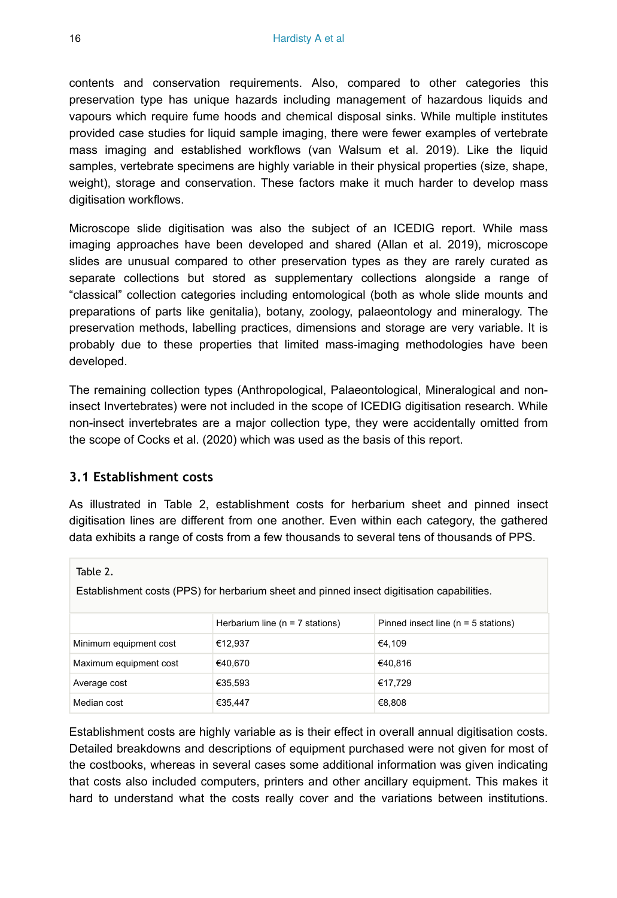contents and conservation requirements. Also, compared to other categories this preservation type has unique hazards including management of hazardous liquids and vapours which require fume hoods and chemical disposal sinks. While multiple institutes provided case studies for liquid sample imaging, there were fewer examples of vertebrate mass imaging and established workflows (van Walsum et al. 2019). Like the liquid samples, vertebrate specimens are highly variable in their physical properties (size, shape, weight), storage and conservation. These factors make it much harder to develop mass digitisation workflows.

Microscope slide digitisation was also the subject of an ICEDIG report. While mass imaging approaches have been developed and shared (Allan et al. 2019), microscope slides are unusual compared to other preservation types as they are rarely curated as separate collections but stored as supplementary collections alongside a range of "classical" collection categories including entomological (both as whole slide mounts and preparations of parts like genitalia), botany, zoology, palaeontology and mineralogy. The preservation methods, labelling practices, dimensions and storage are very variable. It is probably due to these properties that limited mass-imaging methodologies have been developed.

The remaining collection types (Anthropological, Palaeontological, Mineralogical and noninsect Invertebrates) were not included in the scope of ICEDIG digitisation research. While non-insect invertebrates are a major collection type, they were accidentally omitted from the scope of Cocks et al. (2020) which was used as the basis of this report.

#### **3.1 Establishment costs**

Table 2.

As illustrated in Table 2, establishment costs for herbarium sheet and pinned insect digitisation lines are different from one another. Even within each category, the gathered data exhibits a range of costs from a few thousands to several tens of thousands of PPS.

| Establishment costs (PPS) for herbandin sheet and pinned insect digitisation capabilities. |                                    |                                        |
|--------------------------------------------------------------------------------------------|------------------------------------|----------------------------------------|
|                                                                                            | Herbarium line ( $n = 7$ stations) | Pinned insect line ( $n = 5$ stations) |
| Minimum equipment cost                                                                     | €12.937                            | €4.109                                 |
| Maximum equipment cost                                                                     | €40.670                            | €40.816                                |
| Average cost                                                                               | €35,593                            | €17.729                                |
| Median cost                                                                                | €35,447                            | €8,808                                 |

Establishment costs (PPS) for herbarium sheet and pinned insect digitisation capabilities.

Establishment costs are highly variable as is their effect in overall annual digitisation costs. Detailed breakdowns and descriptions of equipment purchased were not given for most of the costbooks, whereas in several cases some additional information was given indicating that costs also included computers, printers and other ancillary equipment. This makes it hard to understand what the costs really cover and the variations between institutions.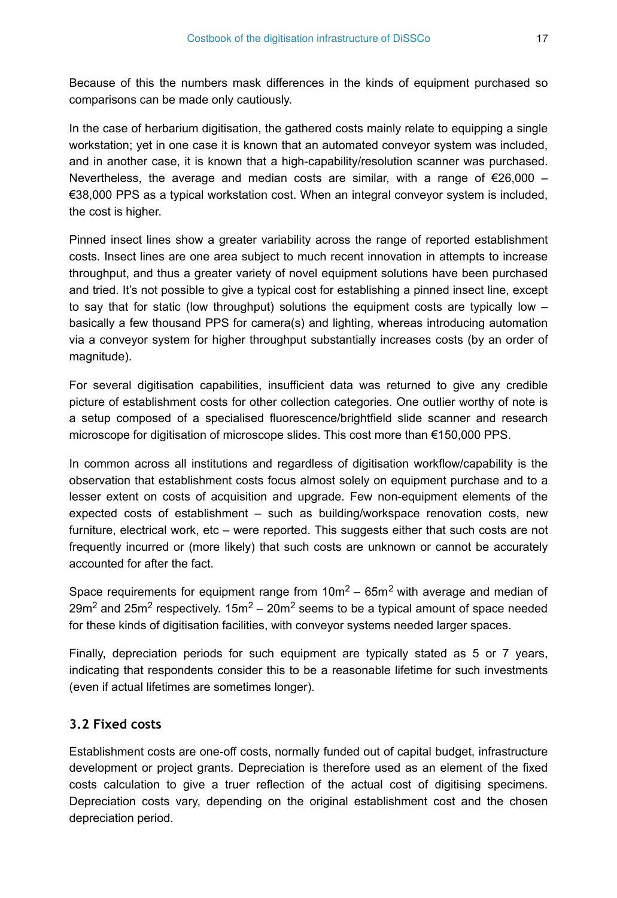Because of this the numbers mask differences in the kinds of equipment purchased so comparisons can be made only cautiously.

In the case of herbarium digitisation, the gathered costs mainly relate to equipping a single workstation; yet in one case it is known that an automated conveyor system was included, and in another case, it is known that a high-capability/resolution scanner was purchased. Nevertheless, the average and median costs are similar, with a range of  $\epsilon$ 26,000 – €38,000 PPS as a typical workstation cost. When an integral conveyor system is included, the cost is higher.

Pinned insect lines show a greater variability across the range of reported establishment costs. Insect lines are one area subject to much recent innovation in attempts to increase throughput, and thus a greater variety of novel equipment solutions have been purchased and tried. It's not possible to give a typical cost for establishing a pinned insect line, except to say that for static (low throughput) solutions the equipment costs are typically low – basically a few thousand PPS for camera(s) and lighting, whereas introducing automation via a conveyor system for higher throughput substantially increases costs (by an order of magnitude).

For several digitisation capabilities, insufficient data was returned to give any credible picture of establishment costs for other collection categories. One outlier worthy of note is a setup composed of a specialised fluorescence/brightfield slide scanner and research microscope for digitisation of microscope slides. This cost more than €150,000 PPS.

In common across all institutions and regardless of digitisation workflow/capability is the observation that establishment costs focus almost solely on equipment purchase and to a lesser extent on costs of acquisition and upgrade. Few non-equipment elements of the expected costs of establishment – such as building/workspace renovation costs, new furniture, electrical work, etc – were reported. This suggests either that such costs are not frequently incurred or (more likely) that such costs are unknown or cannot be accurately accounted for after the fact.

Space requirements for equipment range from  $10m^2 - 65m^2$  with average and median of 29m<sup>2</sup> and 25m<sup>2</sup> respectively. 15m<sup>2</sup> – 20m<sup>2</sup> seems to be a typical amount of space needed for these kinds of digitisation facilities, with conveyor systems needed larger spaces.

Finally, depreciation periods for such equipment are typically stated as 5 or 7 years, indicating that respondents consider this to be a reasonable lifetime for such investments (even if actual lifetimes are sometimes longer).

## **3.2 Fixed costs**

Establishment costs are one-off costs, normally funded out of capital budget, infrastructure development or project grants. Depreciation is therefore used as an element of the fixed costs calculation to give a truer reflection of the actual cost of digitising specimens. Depreciation costs vary, depending on the original establishment cost and the chosen depreciation period.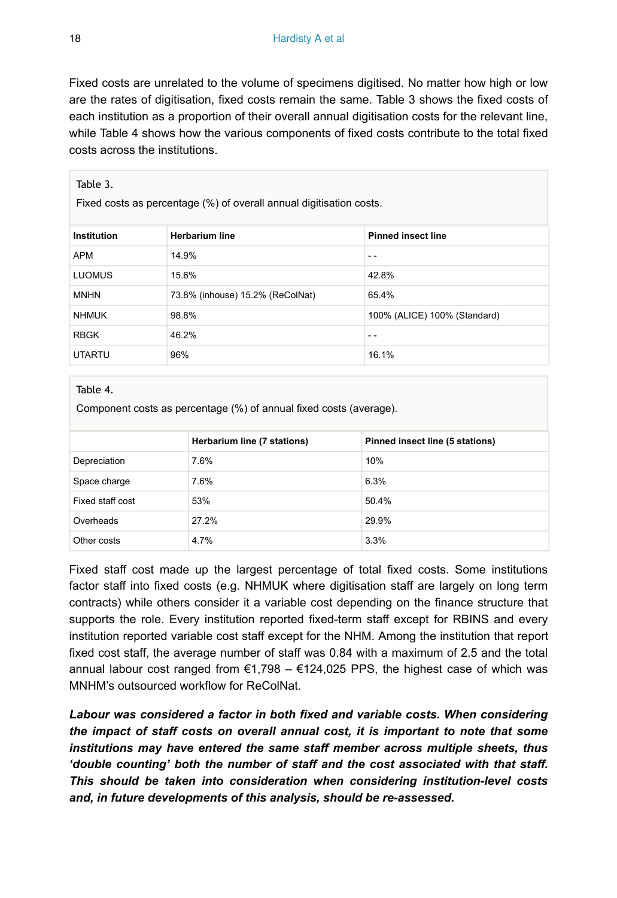Fixed costs are unrelated to the volume of specimens digitised. No matter how high or low are the rates of digitisation, fixed costs remain the same. Table 3 shows the fixed costs of each institution as a proportion of their overall annual digitisation costs for the relevant line, while Table 4 shows how the various components of fixed costs contribute to the total fixed costs across the institutions.

| Table 3.<br>Fixed costs as percentage (%) of overall annual digitisation costs. |                                  |                              |
|---------------------------------------------------------------------------------|----------------------------------|------------------------------|
| Institution                                                                     | <b>Herbarium line</b>            | <b>Pinned insect line</b>    |
| <b>APM</b>                                                                      | 14.9%                            | - -                          |
| <b>LUOMUS</b>                                                                   | 15.6%                            | 42.8%                        |
| <b>MNHN</b>                                                                     | 73.8% (inhouse) 15.2% (ReColNat) | 65.4%                        |
| <b>NHMUK</b>                                                                    | 98.8%                            | 100% (ALICE) 100% (Standard) |
| <b>RBGK</b>                                                                     | 46.2%                            | - -                          |
| <b>UTARTU</b>                                                                   | 96%                              | 16.1%                        |

#### Table 4.

Component costs as percentage (%) of annual fixed costs (average).

|                  | Herbarium line (7 stations) | Pinned insect line (5 stations) |
|------------------|-----------------------------|---------------------------------|
| Depreciation     | 7.6%                        | 10%                             |
| Space charge     | 7.6%                        | 6.3%                            |
| Fixed staff cost | 53%                         | 50.4%                           |
| Overheads        | 27.2%                       | 29.9%                           |
| Other costs      | 4.7%                        | 3.3%                            |

Fixed staff cost made up the largest percentage of total fixed costs. Some institutions factor staff into fixed costs (e.g. NHMUK where digitisation staff are largely on long term contracts) while others consider it a variable cost depending on the finance structure that supports the role. Every institution reported fixed-term staff except for RBINS and every institution reported variable cost staff except for the NHM. Among the institution that report fixed cost staff, the average number of staff was 0.84 with a maximum of 2.5 and the total annual labour cost ranged from  $\epsilon$ 1,798 –  $\epsilon$ 124,025 PPS, the highest case of which was MNHM's outsourced workflow for ReColNat.

*Labour was considered a factor in both fixed and variable costs. When considering the impact of staff costs on overall annual cost, it is important to note that some institutions may have entered the same staff member across multiple sheets, thus 'double counting' both the number of staff and the cost associated with that staff. This should be taken into consideration when considering institution-level costs and, in future developments of this analysis, should be re-assessed.*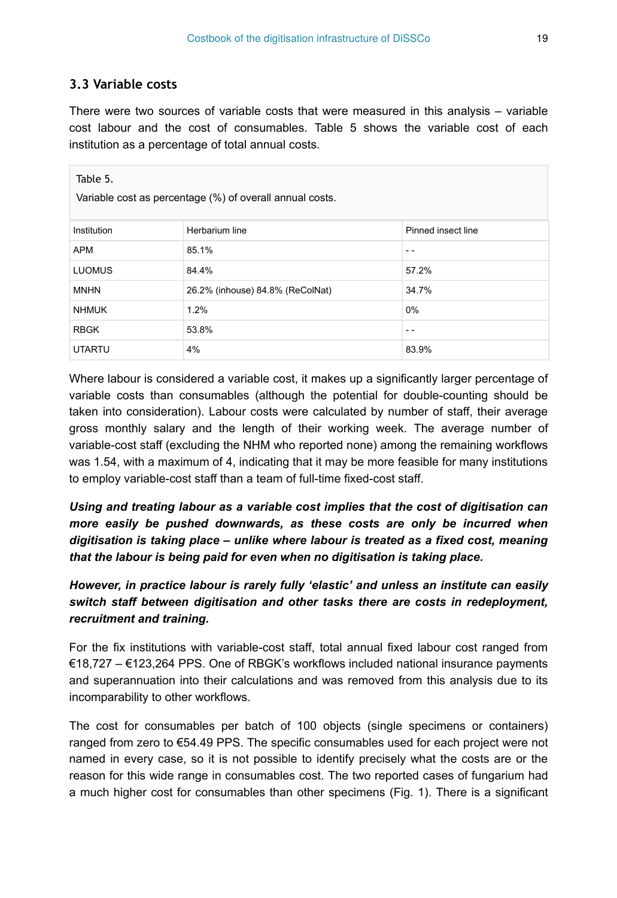#### **3.3 Variable costs**

There were two sources of variable costs that were measured in this analysis – variable cost labour and the cost of consumables. Table 5 shows the variable cost of each institution as a percentage of total annual costs.

| Table 5.      | Variable cost as percentage (%) of overall annual costs. |                    |
|---------------|----------------------------------------------------------|--------------------|
| Institution   | Herbarium line                                           | Pinned insect line |
| <b>APM</b>    | 85.1%                                                    | - -                |
| <b>LUOMUS</b> | 84.4%                                                    | 57.2%              |
| <b>MNHN</b>   | 26.2% (inhouse) 84.8% (ReColNat)                         | 34.7%              |
| <b>NHMUK</b>  | 1.2%                                                     | $0\%$              |
| <b>RBGK</b>   | 53.8%                                                    | - -                |
| <b>UTARTU</b> | 4%                                                       | 83.9%              |

Where labour is considered a variable cost, it makes up a significantly larger percentage of variable costs than consumables (although the potential for double-counting should be taken into consideration). Labour costs were calculated by number of staff, their average gross monthly salary and the length of their working week. The average number of variable-cost staff (excluding the NHM who reported none) among the remaining workflows was 1.54, with a maximum of 4, indicating that it may be more feasible for many institutions to employ variable-cost staff than a team of full-time fixed-cost staff.

*Using and treating labour as a variable cost implies that the cost of digitisation can more easily be pushed downwards, as these costs are only be incurred when digitisation is taking place – unlike where labour is treated as a fixed cost, meaning that the labour is being paid for even when no digitisation is taking place.*

## *However, in practice labour is rarely fully 'elastic' and unless an institute can easily switch staff between digitisation and other tasks there are costs in redeployment, recruitment and training.*

For the fix institutions with variable-cost staff, total annual fixed labour cost ranged from €18,727 – €123,264 PPS. One of RBGK's workflows included national insurance payments and superannuation into their calculations and was removed from this analysis due to its incomparability to other workflows.

The cost for consumables per batch of 100 objects (single specimens or containers) ranged from zero to €54.49 PPS. The specific consumables used for each project were not named in every case, so it is not possible to identify precisely what the costs are or the reason for this wide range in consumables cost. The two reported cases of fungarium had a much higher cost for consumables than other specimens (Fig. 1). There is a significant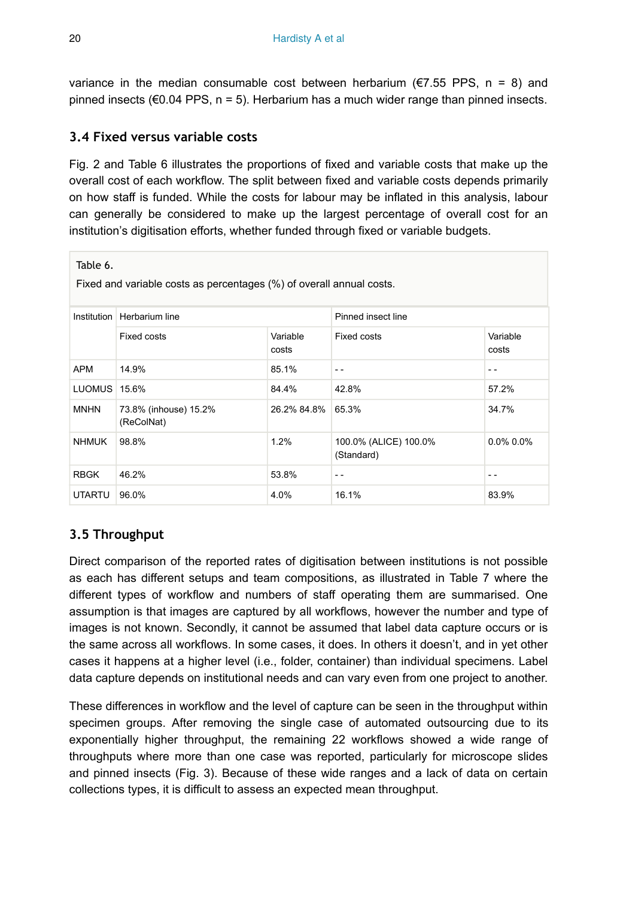variance in the median consumable cost between herbarium ( $\epsilon$ 7.55 PPS, n = 8) and pinned insects ( $60.04$  PPS,  $n = 5$ ). Herbarium has a much wider range than pinned insects.

## **3.4 Fixed versus variable costs**

Fig. 2 and Table 6 illustrates the proportions of fixed and variable costs that make up the overall cost of each workflow. The split between fixed and variable costs depends primarily on how staff is funded. While the costs for labour may be inflated in this analysis, labour can generally be considered to make up the largest percentage of overall cost for an institution's digitisation efforts, whether funded through fixed or variable budgets.

| lable 6.<br>Fixed and variable costs as percentages (%) of overall annual costs. |                                     |                   |                                     |                   |
|----------------------------------------------------------------------------------|-------------------------------------|-------------------|-------------------------------------|-------------------|
|                                                                                  | Institution   Herbarium line        |                   | Pinned insect line                  |                   |
|                                                                                  | Fixed costs                         | Variable<br>costs | <b>Fixed costs</b>                  | Variable<br>costs |
| APM                                                                              | 14.9%                               | 85.1%             | $ -$                                | - -               |
| LUOMUS 15.6%                                                                     |                                     | 84.4%             | 42.8%                               | 57.2%             |
| <b>MNHN</b>                                                                      | 73.8% (inhouse) 15.2%<br>(ReColNat) | 26.2% 84.8%       | 65.3%                               | 34.7%             |
| <b>NHMUK</b>                                                                     | 98.8%                               | 1.2%              | 100.0% (ALICE) 100.0%<br>(Standard) | $0.0\%$ 0.0%      |
| <b>RBGK</b>                                                                      | 46.2%                               | 53.8%             | $ -$                                | - -               |
| <b>UTARTU</b>                                                                    | 96.0%                               | 4.0%              | 16.1%                               | 83.9%             |

# **3.5 Throughput**

Direct comparison of the reported rates of digitisation between institutions is not possible as each has different setups and team compositions, as illustrated in Table 7 where the different types of workflow and numbers of staff operating them are summarised. One assumption is that images are captured by all workflows, however the number and type of images is not known. Secondly, it cannot be assumed that label data capture occurs or is the same across all workflows. In some cases, it does. In others it doesn't, and in yet other cases it happens at a higher level (i.e., folder, container) than individual specimens. Label data capture depends on institutional needs and can vary even from one project to another.

These differences in workflow and the level of capture can be seen in the throughput within specimen groups. After removing the single case of automated outsourcing due to its exponentially higher throughput, the remaining 22 workflows showed a wide range of throughputs where more than one case was reported, particularly for microscope slides and pinned insects (Fig. 3). Because of these wide ranges and a lack of data on certain collections types, it is difficult to assess an expected mean throughput.

 $\Box$   $\Box$   $\Box$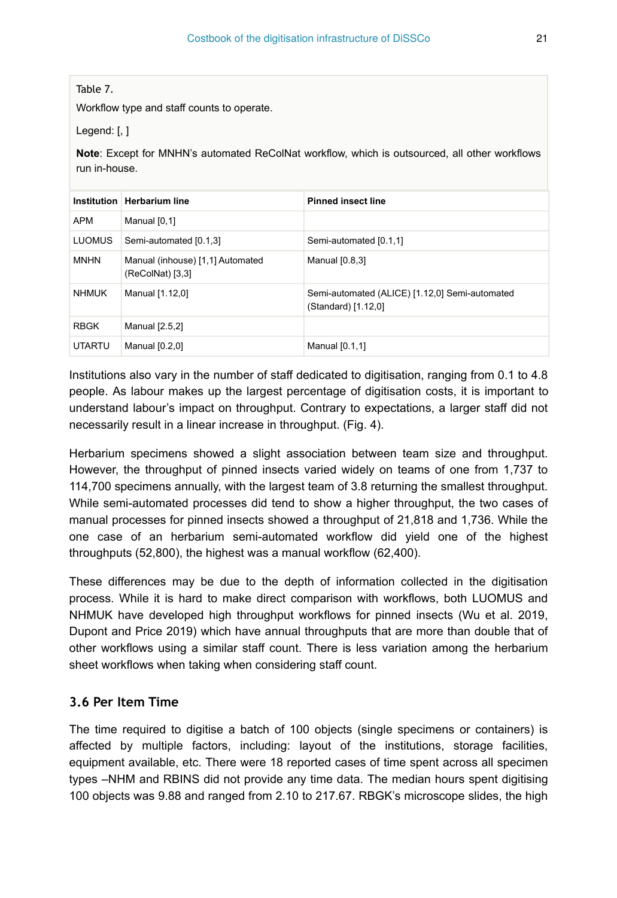Table 7.

Workflow type and staff counts to operate.

Legend: [, ]

**Note**: Except for MNHN's automated ReColNat workflow, which is outsourced, all other workflows run in-house.

|               | Institution   Herbarium line                         | <b>Pinned insect line</b>                                             |
|---------------|------------------------------------------------------|-----------------------------------------------------------------------|
| <b>APM</b>    | Manual [0,1]                                         |                                                                       |
| <b>LUOMUS</b> | Semi-automated [0.1,3]                               | Semi-automated [0.1,1]                                                |
| <b>MNHN</b>   | Manual (inhouse) [1,1] Automated<br>(ReColNat) [3,3] | Manual [0.8,3]                                                        |
| <b>NHMUK</b>  | Manual [1.12,0]                                      | Semi-automated (ALICE) [1.12,0] Semi-automated<br>(Standard) [1.12,0] |
| <b>RBGK</b>   | Manual [2.5,2]                                       |                                                                       |
| <b>UTARTU</b> | Manual [0.2,0]                                       | Manual [0.1,1]                                                        |

Institutions also vary in the number of staff dedicated to digitisation, ranging from 0.1 to 4.8 people. As labour makes up the largest percentage of digitisation costs, it is important to understand labour's impact on throughput. Contrary to expectations, a larger staff did not necessarily result in a linear increase in throughput. (Fig. 4).

Herbarium specimens showed a slight association between team size and throughput. However, the throughput of pinned insects varied widely on teams of one from 1,737 to 114,700 specimens annually, with the largest team of 3.8 returning the smallest throughput. While semi-automated processes did tend to show a higher throughput, the two cases of manual processes for pinned insects showed a throughput of 21,818 and 1,736. While the one case of an herbarium semi-automated workflow did yield one of the highest throughputs (52,800), the highest was a manual workflow (62,400).

These differences may be due to the depth of information collected in the digitisation process. While it is hard to make direct comparison with workflows, both LUOMUS and NHMUK have developed high throughput workflows for pinned insects (Wu et al. 2019, Dupont and Price 2019) which have annual throughputs that are more than double that of other workflows using a similar staff count. There is less variation among the herbarium sheet workflows when taking when considering staff count.

#### **3.6 Per Item Time**

The time required to digitise a batch of 100 objects (single specimens or containers) is affected by multiple factors, including: layout of the institutions, storage facilities, equipment available, etc. There were 18 reported cases of time spent across all specimen types –NHM and RBINS did not provide any time data. The median hours spent digitising 100 objects was 9.88 and ranged from 2.10 to 217.67. RBGK's microscope slides, the high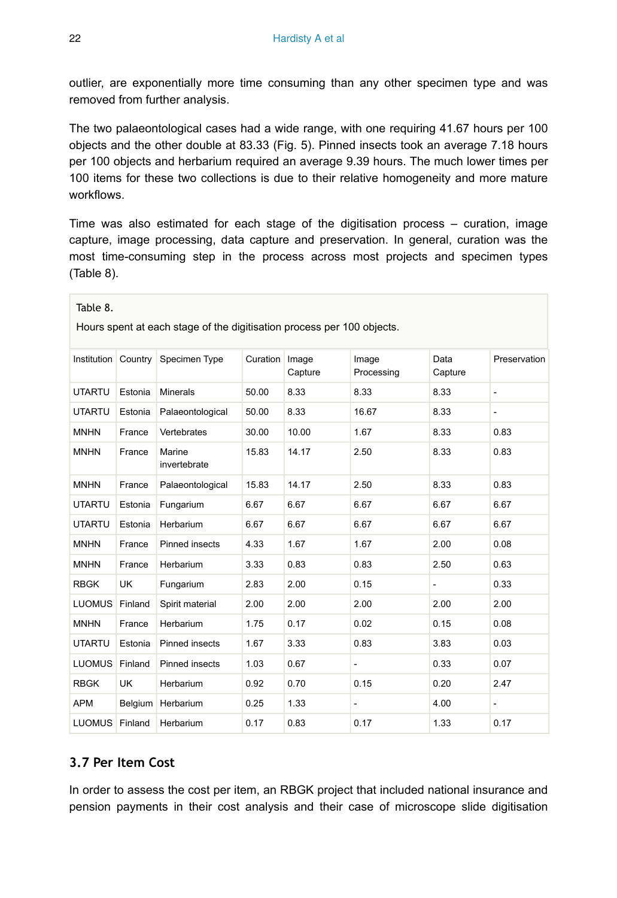outlier, are exponentially more time consuming than any other specimen type and was removed from further analysis.

The two palaeontological cases had a wide range, with one requiring 41.67 hours per 100 objects and the other double at 83.33 (Fig. 5). Pinned insects took an average 7.18 hours per 100 objects and herbarium required an average 9.39 hours. The much lower times per 100 items for these two collections is due to their relative homogeneity and more mature workflows.

Time was also estimated for each stage of the digitisation process – curation, image capture, image processing, data capture and preservation. In general, curation was the most time-consuming step in the process across most projects and specimen types (Table 8).

| Table 8.<br>Hours spent at each stage of the digitisation process per 100 objects. |           |                        |                 |                  |                     |                 |                          |
|------------------------------------------------------------------------------------|-----------|------------------------|-----------------|------------------|---------------------|-----------------|--------------------------|
| Institution Country                                                                |           | Specimen Type          | <b>Curation</b> | Image<br>Capture | Image<br>Processing | Data<br>Capture | Preservation             |
| <b>UTARTU</b>                                                                      | Estonia   | <b>Minerals</b>        | 50.00           | 8.33             | 8.33                | 8.33            | $\overline{\phantom{a}}$ |
| <b>UTARTU</b>                                                                      | Estonia   | Palaeontological       | 50.00           | 8.33             | 16.67               | 8.33            | ÷.                       |
| <b>MNHN</b>                                                                        | France    | Vertebrates            | 30.00           | 10.00            | 1.67                | 8.33            | 0.83                     |
| <b>MNHN</b>                                                                        | France    | Marine<br>invertebrate | 15.83           | 14.17            | 2.50                | 8.33            | 0.83                     |
| <b>MNHN</b>                                                                        | France    | Palaeontological       | 15.83           | 14.17            | 2.50                | 8.33            | 0.83                     |
| <b>UTARTU</b>                                                                      | Estonia   | Fungarium              | 6.67            | 6.67             | 6.67                | 6.67            | 6.67                     |
| <b>UTARTU</b>                                                                      | Estonia   | Herbarium              | 6.67            | 6.67             | 6.67                | 6.67            | 6.67                     |
| <b>MNHN</b>                                                                        | France    | Pinned insects         | 4.33            | 1.67             | 1.67                | 2.00            | 0.08                     |
| <b>MNHN</b>                                                                        | France    | Herbarium              | 3.33            | 0.83             | 0.83                | 2.50            | 0.63                     |
| <b>RBGK</b>                                                                        | <b>UK</b> | Fungarium              | 2.83            | 2.00             | 0.15                |                 | 0.33                     |
| LUOMUS Finland                                                                     |           | Spirit material        | 2.00            | 2.00             | 2.00                | 2.00            | 2.00                     |
| <b>MNHN</b>                                                                        | France    | Herbarium              | 1.75            | 0.17             | 0.02                | 0.15            | 0.08                     |
| <b>UTARTU</b>                                                                      | Estonia   | <b>Pinned insects</b>  | 1.67            | 3.33             | 0.83                | 3.83            | 0.03                     |
| LUOMUS Finland                                                                     |           | Pinned insects         | 1.03            | 0.67             | $\overline{a}$      | 0.33            | 0.07                     |
| <b>RBGK</b>                                                                        | <b>UK</b> | Herbarium              | 0.92            | 0.70             | 0.15                | 0.20            | 2.47                     |
| <b>APM</b>                                                                         |           | Belgium   Herbarium    | 0.25            | 1.33             | $\frac{1}{2}$       | 4.00            | $\overline{\phantom{0}}$ |
| LUOMUS Finland                                                                     |           | Herbarium              | 0.17            | 0.83             | 0.17                | 1.33            | 0.17                     |

#### **3.7 Per Item Cost**

In order to assess the cost per item, an RBGK project that included national insurance and pension payments in their cost analysis and their case of microscope slide digitisation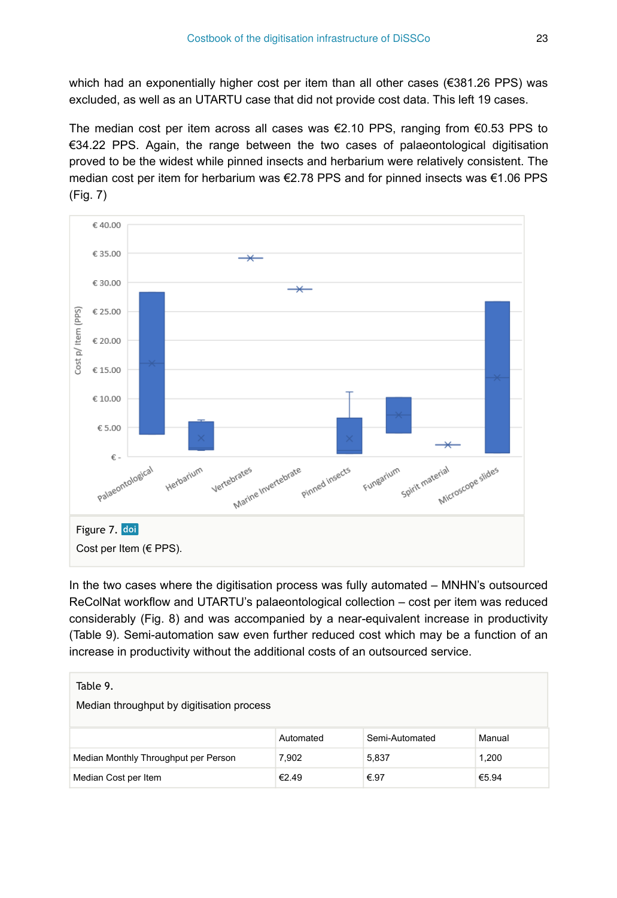which had an exponentially higher cost per item than all other cases (€381.26 PPS) was excluded, as well as an UTARTU case that did not provide cost data. This left 19 cases.

The median cost per item across all cases was  $€2.10$  PPS, ranging from  $€0.53$  PPS to €34.22 PPS. Again, the range between the two cases of palaeontological digitisation proved to be the widest while pinned insects and herbarium were relatively consistent. The median cost per item for herbarium was €2.78 PPS and for pinned insects was €1.06 PPS (Fig. 7)



In the two cases where the digitisation process was fully automated – MNHN's outsourced ReColNat workflow and UTARTU's palaeontological collection – cost per item was reduced considerably (Fig. 8) and was accompanied by a near-equivalent increase in productivity (Table 9). Semi-automation saw even further reduced cost which may be a function of an increase in productivity without the additional costs of an outsourced service.

| Table 9.<br>Median throughput by digitisation process |           |                |        |
|-------------------------------------------------------|-----------|----------------|--------|
|                                                       | Automated | Semi-Automated | Manual |
| Median Monthly Throughput per Person                  | 7.902     | 5,837          | 1,200  |
| Median Cost per Item                                  | €2.49     | €.97           | €5.94  |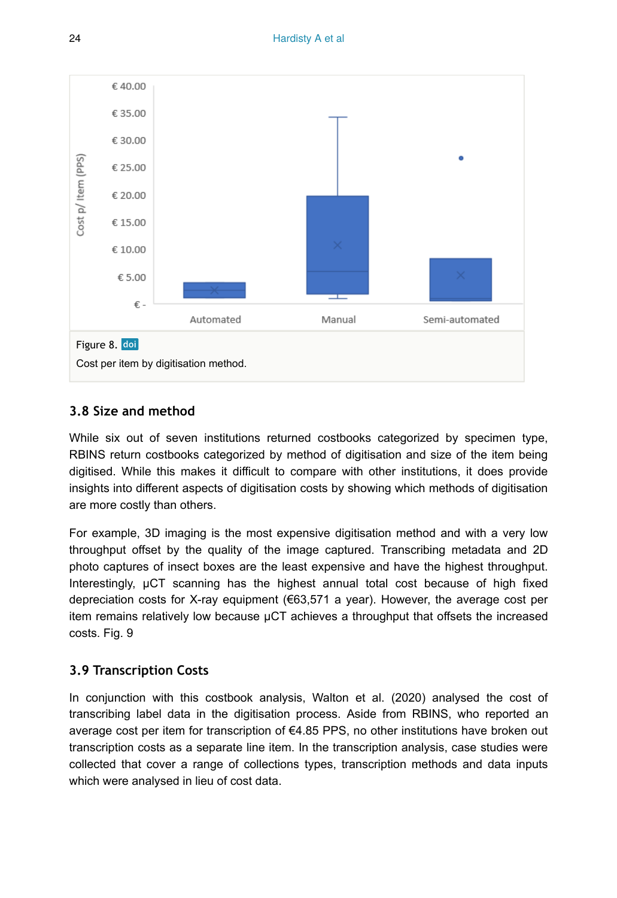

## <span id="page-23-0"></span>**3.8 Size and method**

While six out of seven institutions returned costbooks categorized by specimen type, RBINS return costbooks categorized by method of digitisation and size of the item being digitised. While this makes it difficult to compare with other institutions, it does provide insights into different aspects of digitisation costs by showing which methods of digitisation are more costly than others.

For example, 3D imaging is the most expensive digitisation method and with a very low throughput offset by the quality of the image captured. Transcribing metadata and 2D photo captures of insect boxes are the least expensive and have the highest throughput. Interestingly, µCT scanning has the highest annual total cost because of high fixed depreciation costs for X-ray equipment  $(€63,571 a year)$ . However, the average cost per item remains relatively low because µCT achieves a throughput that offsets the increased costs. Fig. 9

## **3.9 Transcription Costs**

In conjunction with this costbook analysis, Walton et al. (2020) analysed the cost of transcribing label data in the digitisation process. Aside from RBINS, who reported an average cost per item for transcription of  $\epsilon$ 4.85 PPS, no other institutions have broken out transcription costs as a separate line item. In the transcription analysis, case studies were collected that cover a range of collections types, transcription methods and data inputs which were analysed in lieu of cost data.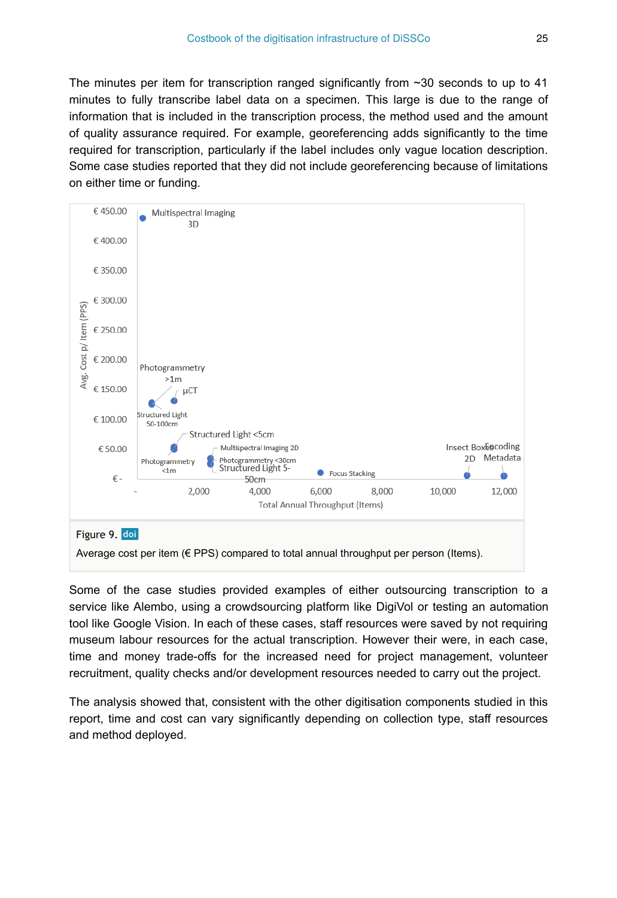The minutes per item for transcription ranged significantly from  $\sim$  30 seconds to up to 41 minutes to fully transcribe label data on a specimen. This large is due to the range of information that is included in the transcription process, the method used and the amount of quality assurance required. For example, georeferencing adds significantly to the time required for transcription, particularly if the label includes only vague location description. Some case studies reported that they did not include georeferencing because of limitations on either time or funding.



Some of the case studies provided examples of either outsourcing transcription to a service like Alembo, using a crowdsourcing platform like DigiVol or testing an automation tool like Google Vision. In each of these cases, staff resources were saved by not requiring museum labour resources for the actual transcription. However their were, in each case, time and money trade-offs for the increased need for project management, volunteer recruitment, quality checks and/or development resources needed to carry out the project.

The analysis showed that, consistent with the other digitisation components studied in this report, time and cost can vary significantly depending on collection type, staff resources and method deployed.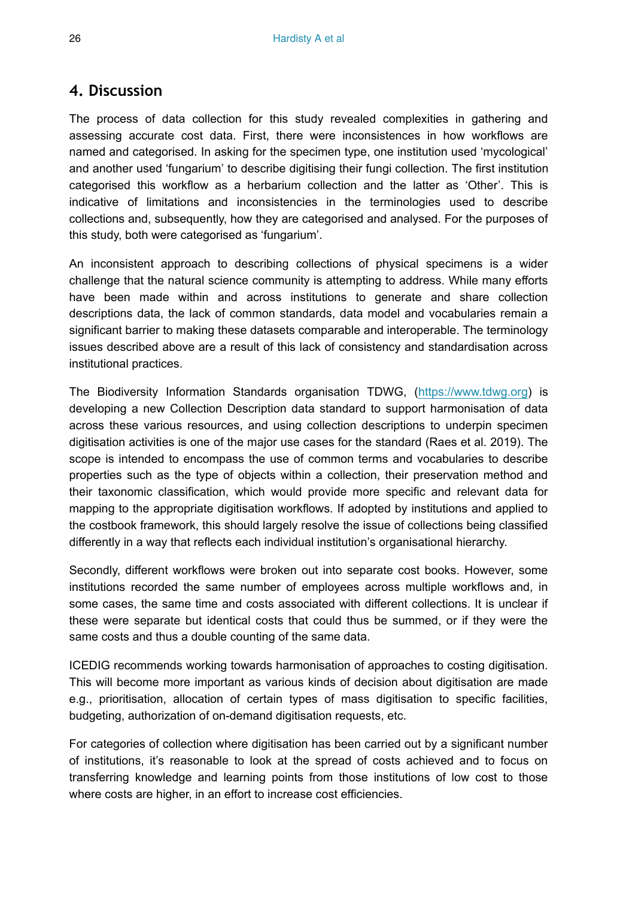## **4. Discussion**

The process of data collection for this study revealed complexities in gathering and assessing accurate cost data. First, there were inconsistences in how workflows are named and categorised. In asking for the specimen type, one institution used 'mycological' and another used 'fungarium' to describe digitising their fungi collection. The first institution categorised this workflow as a herbarium collection and the latter as 'Other'. This is indicative of limitations and inconsistencies in the terminologies used to describe collections and, subsequently, how they are categorised and analysed. For the purposes of this study, both were categorised as 'fungarium'.

An inconsistent approach to describing collections of physical specimens is a wider challenge that the natural science community is attempting to address. While many efforts have been made within and across institutions to generate and share collection descriptions data, the lack of common standards, data model and vocabularies remain a significant barrier to making these datasets comparable and interoperable. The terminology issues described above are a result of this lack of consistency and standardisation across institutional practices.

The Biodiversity Information Standards organisation TDWG, ([https://www.tdwg.org\)](https://www.tdwg.org/) is developing a new Collection Description data standard to support harmonisation of data across these various resources, and using collection descriptions to underpin specimen digitisation activities is one of the major use cases for the standard (Raes et al. 2019). The scope is intended to encompass the use of common terms and vocabularies to describe properties such as the type of objects within a collection, their preservation method and their taxonomic classification, which would provide more specific and relevant data for mapping to the appropriate digitisation workflows. If adopted by institutions and applied to the costbook framework, this should largely resolve the issue of collections being classified differently in a way that reflects each individual institution's organisational hierarchy.

Secondly, different workflows were broken out into separate cost books. However, some institutions recorded the same number of employees across multiple workflows and, in some cases, the same time and costs associated with different collections. It is unclear if these were separate but identical costs that could thus be summed, or if they were the same costs and thus a double counting of the same data.

ICEDIG recommends working towards harmonisation of approaches to costing digitisation. This will become more important as various kinds of decision about digitisation are made e.g., prioritisation, allocation of certain types of mass digitisation to specific facilities, budgeting, authorization of on-demand digitisation requests, etc.

For categories of collection where digitisation has been carried out by a significant number of institutions, it's reasonable to look at the spread of costs achieved and to focus on transferring knowledge and learning points from those institutions of low cost to those where costs are higher, in an effort to increase cost efficiencies.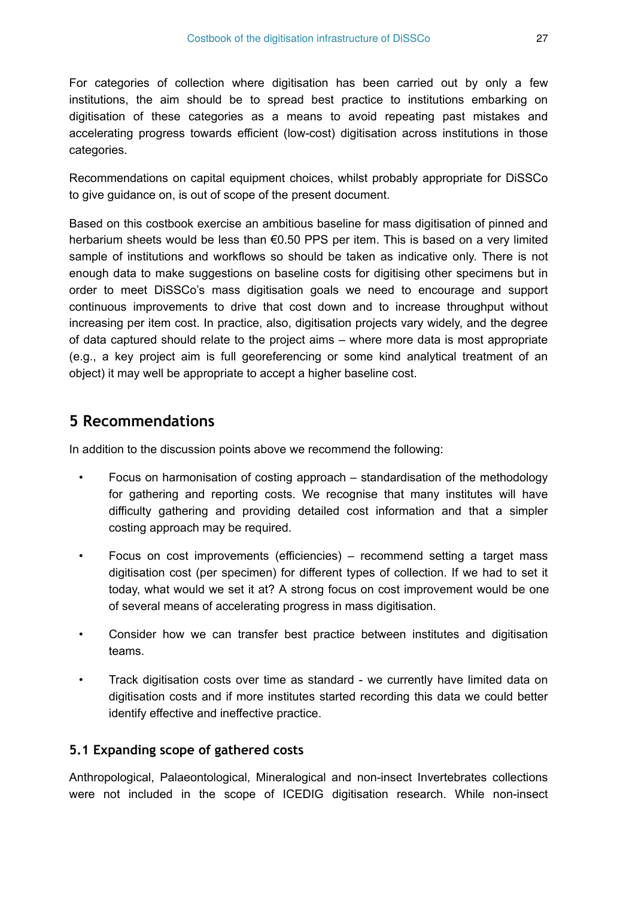For categories of collection where digitisation has been carried out by only a few institutions, the aim should be to spread best practice to institutions embarking on digitisation of these categories as a means to avoid repeating past mistakes and accelerating progress towards efficient (low-cost) digitisation across institutions in those categories.

Recommendations on capital equipment choices, whilst probably appropriate for DiSSCo to give guidance on, is out of scope of the present document.

Based on this costbook exercise an ambitious baseline for mass digitisation of pinned and herbarium sheets would be less than €0.50 PPS per item. This is based on a very limited sample of institutions and workflows so should be taken as indicative only. There is not enough data to make suggestions on baseline costs for digitising other specimens but in order to meet DiSSCo's mass digitisation goals we need to encourage and support continuous improvements to drive that cost down and to increase throughput without increasing per item cost. In practice, also, digitisation projects vary widely, and the degree of data captured should relate to the project aims – where more data is most appropriate (e.g., a key project aim is full georeferencing or some kind analytical treatment of an object) it may well be appropriate to accept a higher baseline cost.

# **5 Recommendations**

In addition to the discussion points above we recommend the following:

- Focus on harmonisation of costing approach standardisation of the methodology for gathering and reporting costs. We recognise that many institutes will have difficulty gathering and providing detailed cost information and that a simpler costing approach may be required.
- Focus on cost improvements (efficiencies) recommend setting a target mass digitisation cost (per specimen) for different types of collection. If we had to set it today, what would we set it at? A strong focus on cost improvement would be one of several means of accelerating progress in mass digitisation.
- Consider how we can transfer best practice between institutes and digitisation teams.
- Track digitisation costs over time as standard we currently have limited data on digitisation costs and if more institutes started recording this data we could better identify effective and ineffective practice.

#### **5.1 Expanding scope of gathered costs**

Anthropological, Palaeontological, Mineralogical and non-insect Invertebrates collections were not included in the scope of ICEDIG digitisation research. While non-insect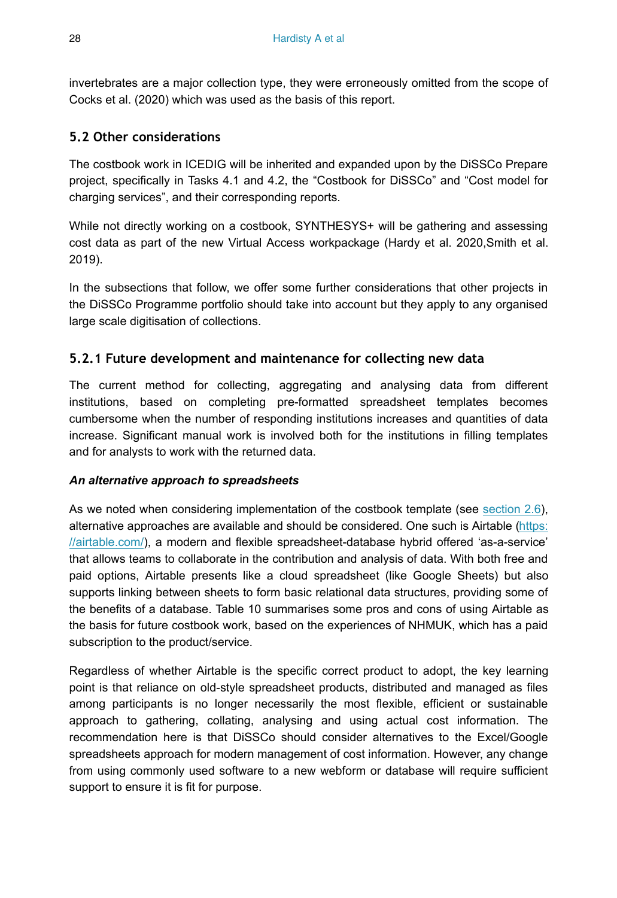invertebrates are a major collection type, they were erroneously omitted from the scope of Cocks et al. (2020) which was used as the basis of this report.

#### **5.2 Other considerations**

The costbook work in ICEDIG will be inherited and expanded upon by the DiSSCo Prepare project, specifically in Tasks 4.1 and 4.2, the "Costbook for DiSSCo" and "Cost model for charging services", and their corresponding reports.

While not directly working on a costbook, SYNTHESYS+ will be gathering and assessing cost data as part of the new Virtual Access workpackage (Hardy et al. 2020,Smith et al. 2019).

In the subsections that follow, we offer some further considerations that other projects in the DiSSCo Programme portfolio should take into account but they apply to any organised large scale digitisation of collections.

## **5.2.1 Future development and maintenance for collecting new data**

The current method for collecting, aggregating and analysing data from different institutions, based on completing pre-formatted spreadsheet templates becomes cumbersome when the number of responding institutions increases and quantities of data increase. Significant manual work is involved both for the institutions in filling templates and for analysts to work with the returned data.

#### *An alternative approach to spreadsheets*

As we noted when considering implementation of the costbook template (see [section 2.6\)](#page-9-0), alternative approaches are available and should be considered. One such is Airtable [\(https:](https://airtable.com/) [//airtable.com/\)](https://airtable.com/), a modern and flexible spreadsheet-database hybrid offered 'as-a-service' that allows teams to collaborate in the contribution and analysis of data. With both free and paid options, Airtable presents like a cloud spreadsheet (like Google Sheets) but also supports linking between sheets to form basic relational data structures, providing some of the benefits of a database. Table 10 summarises some pros and cons of using Airtable as the basis for future costbook work, based on the experiences of NHMUK, which has a paid subscription to the product/service.

Regardless of whether Airtable is the specific correct product to adopt, the key learning point is that reliance on old-style spreadsheet products, distributed and managed as files among participants is no longer necessarily the most flexible, efficient or sustainable approach to gathering, collating, analysing and using actual cost information. The recommendation here is that DiSSCo should consider alternatives to the Excel/Google spreadsheets approach for modern management of cost information. However, any change from using commonly used software to a new webform or database will require sufficient support to ensure it is fit for purpose.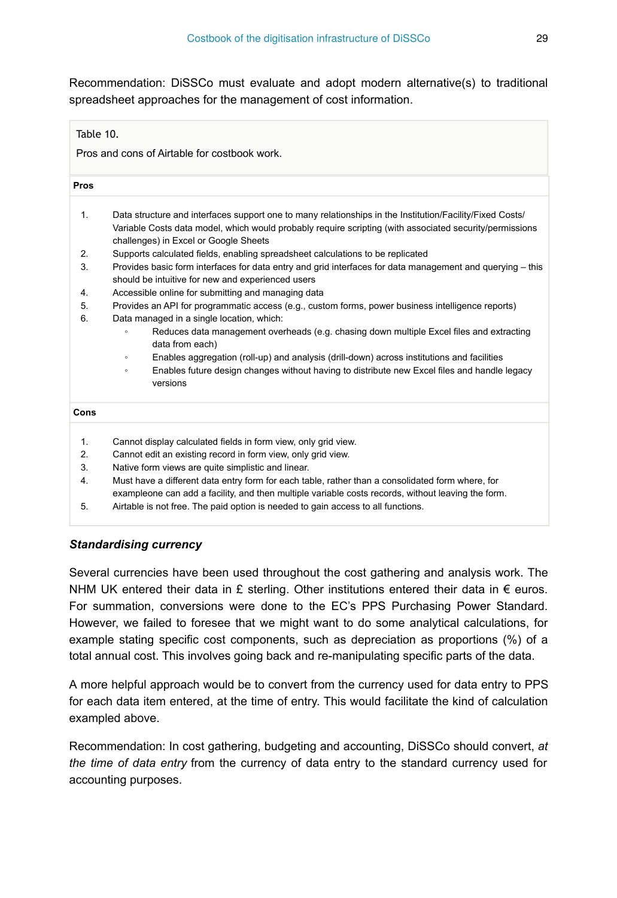Recommendation: DiSSCo must evaluate and adopt modern alternative(s) to traditional spreadsheet approaches for the management of cost information.

#### Table 10.

Pros and cons of Airtable for costbook work.

| Pros |                                                                                                                                                                                                                                                              |
|------|--------------------------------------------------------------------------------------------------------------------------------------------------------------------------------------------------------------------------------------------------------------|
| 1.   | Data structure and interfaces support one to many relationships in the Institution/Facility/Fixed Costs/<br>Variable Costs data model, which would probably require scripting (with associated security/permissions<br>challenges) in Excel or Google Sheets |
| 2.   | Supports calculated fields, enabling spreadsheet calculations to be replicated                                                                                                                                                                               |
| 3.   | Provides basic form interfaces for data entry and grid interfaces for data management and querying - this<br>should be intuitive for new and experienced users                                                                                               |
| 4.   | Accessible online for submitting and managing data                                                                                                                                                                                                           |
| 5.   | Provides an API for programmatic access (e.g., custom forms, power business intelligence reports)                                                                                                                                                            |
| 6.   | Data managed in a single location, which:                                                                                                                                                                                                                    |
|      | Reduces data management overheads (e.g. chasing down multiple Excel files and extracting<br>$\circ$<br>data from each)                                                                                                                                       |
|      | Enables aggregation (roll-up) and analysis (drill-down) across institutions and facilities<br>$\circ$                                                                                                                                                        |
|      | Enables future design changes without having to distribute new Excel files and handle legacy<br>$\circ$<br>versions                                                                                                                                          |
| Cons |                                                                                                                                                                                                                                                              |
| 1.   | Cannot display calculated fields in form view, only grid view.                                                                                                                                                                                               |
| 2.   | Cannot edit an existing record in form view, only grid view.                                                                                                                                                                                                 |
| 3.   | Native form views are quite simplistic and linear.                                                                                                                                                                                                           |
|      |                                                                                                                                                                                                                                                              |

4. Must have a different data entry form for each table, rather than a consolidated form where, for exampleone can add a facility, and then multiple variable costs records, without leaving the form.

5. Airtable is not free. The paid option is needed to gain access to all functions.

#### *Standardising currency*

Several currencies have been used throughout the cost gathering and analysis work. The NHM UK entered their data in £ sterling. Other institutions entered their data in  $\epsilon$  euros. For summation, conversions were done to the EC's PPS Purchasing Power Standard. However, we failed to foresee that we might want to do some analytical calculations, for example stating specific cost components, such as depreciation as proportions (%) of a total annual cost. This involves going back and re-manipulating specific parts of the data.

A more helpful approach would be to convert from the currency used for data entry to PPS for each data item entered, at the time of entry. This would facilitate the kind of calculation exampled above.

Recommendation: In cost gathering, budgeting and accounting, DiSSCo should convert, *at the time of data entry* from the currency of data entry to the standard currency used for accounting purposes.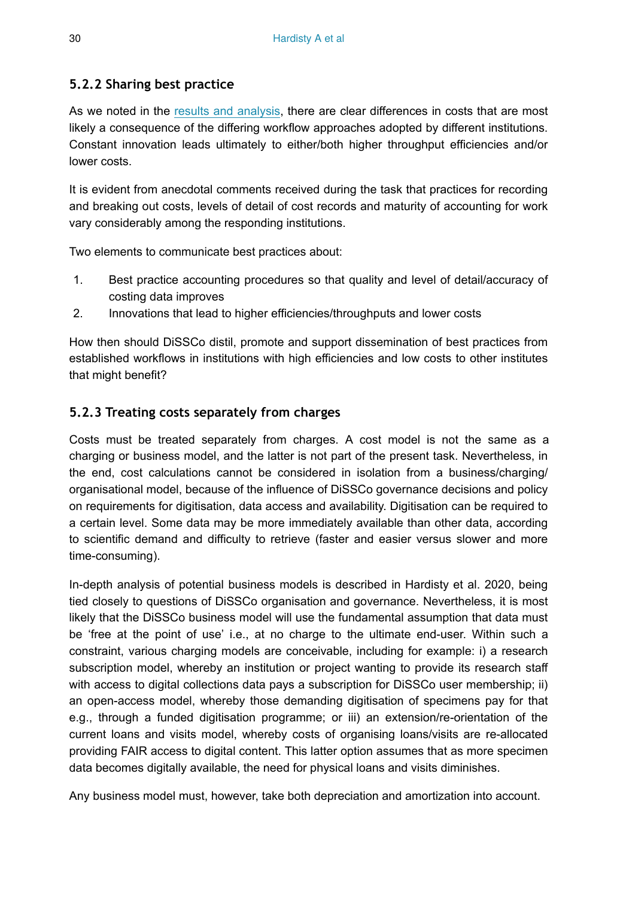#### **5.2.2 Sharing best practice**

As we noted in the results and analysis, there are clear differences in costs that are most likely a consequence of the differing workflow approaches adopted by different institutions. Constant innovation leads ultimately to either/both higher throughput efficiencies and/or lower costs.

It is evident from anecdotal comments received during the task that practices for recording and breaking out costs, levels of detail of cost records and maturity of accounting for work vary considerably among the responding institutions.

Two elements to communicate best practices about:

- 1. Best practice accounting procedures so that quality and level of detail/accuracy of costing data improves
- 2. Innovations that lead to higher efficiencies/throughputs and lower costs

How then should DiSSCo distil, promote and support dissemination of best practices from established workflows in institutions with high efficiencies and low costs to other institutes that might benefit?

## **5.2.3 Treating costs separately from charges**

Costs must be treated separately from charges. A cost model is not the same as a charging or business model, and the latter is not part of the present task. Nevertheless, in the end, cost calculations cannot be considered in isolation from a business/charging/ organisational model, because of the influence of DiSSCo governance decisions and policy on requirements for digitisation, data access and availability. Digitisation can be required to a certain level. Some data may be more immediately available than other data, according to scientific demand and difficulty to retrieve (faster and easier versus slower and more time-consuming).

In-depth analysis of potential business models is described in Hardisty et al. 2020, being tied closely to questions of DiSSCo organisation and governance. Nevertheless, it is most likely that the DiSSCo business model will use the fundamental assumption that data must be 'free at the point of use' i.e., at no charge to the ultimate end-user. Within such a constraint, various charging models are conceivable, including for example: i) a research subscription model, whereby an institution or project wanting to provide its research staff with access to digital collections data pays a subscription for DiSSCo user membership; ii) an open-access model, whereby those demanding digitisation of specimens pay for that e.g., through a funded digitisation programme; or iii) an extension/re-orientation of the current loans and visits model, whereby costs of organising loans/visits are re-allocated providing FAIR access to digital content. This latter option assumes that as more specimen data becomes digitally available, the need for physical loans and visits diminishes.

Any business model must, however, take both depreciation and amortization into account.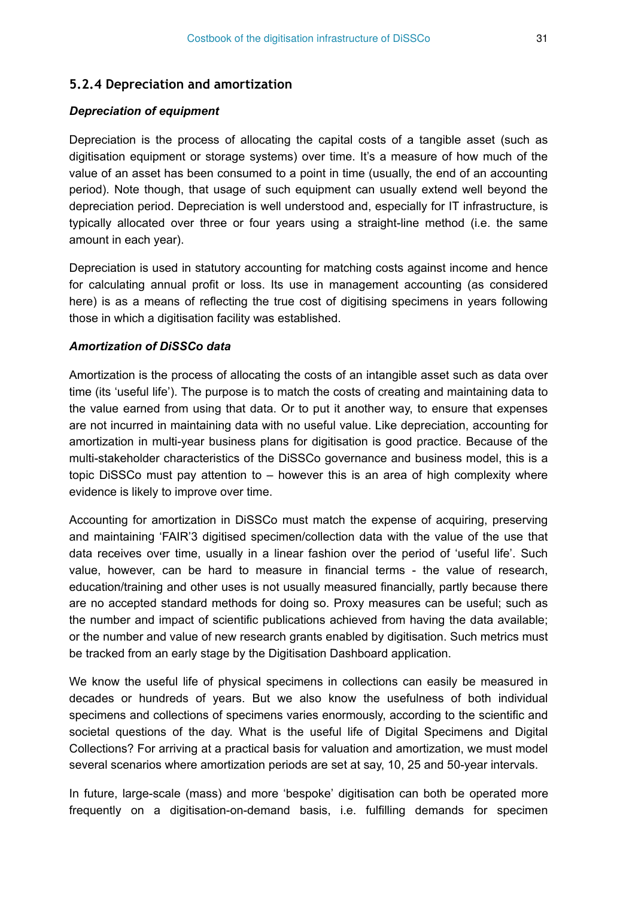#### **5.2.4 Depreciation and amortization**

#### *Depreciation of equipment*

Depreciation is the process of allocating the capital costs of a tangible asset (such as digitisation equipment or storage systems) over time. It's a measure of how much of the value of an asset has been consumed to a point in time (usually, the end of an accounting period). Note though, that usage of such equipment can usually extend well beyond the depreciation period. Depreciation is well understood and, especially for IT infrastructure, is typically allocated over three or four years using a straight-line method (i.e. the same amount in each year).

Depreciation is used in statutory accounting for matching costs against income and hence for calculating annual profit or loss. Its use in management accounting (as considered here) is as a means of reflecting the true cost of digitising specimens in years following those in which a digitisation facility was established.

#### *Amortization of DiSSCo data*

Amortization is the process of allocating the costs of an intangible asset such as data over time (its 'useful life'). The purpose is to match the costs of creating and maintaining data to the value earned from using that data. Or to put it another way, to ensure that expenses are not incurred in maintaining data with no useful value. Like depreciation, accounting for amortization in multi-year business plans for digitisation is good practice. Because of the multi-stakeholder characteristics of the DiSSCo governance and business model, this is a topic DiSSCo must pay attention to – however this is an area of high complexity where evidence is likely to improve over time.

Accounting for amortization in DiSSCo must match the expense of acquiring, preserving and maintaining 'FAIR'3 digitised specimen/collection data with the value of the use that data receives over time, usually in a linear fashion over the period of 'useful life'. Such value, however, can be hard to measure in financial terms - the value of research, education/training and other uses is not usually measured financially, partly because there are no accepted standard methods for doing so. Proxy measures can be useful; such as the number and impact of scientific publications achieved from having the data available; or the number and value of new research grants enabled by digitisation. Such metrics must be tracked from an early stage by the Digitisation Dashboard application.

We know the useful life of physical specimens in collections can easily be measured in decades or hundreds of years. But we also know the usefulness of both individual specimens and collections of specimens varies enormously, according to the scientific and societal questions of the day. What is the useful life of Digital Specimens and Digital Collections? For arriving at a practical basis for valuation and amortization, we must model several scenarios where amortization periods are set at say, 10, 25 and 50-year intervals.

In future, large-scale (mass) and more 'bespoke' digitisation can both be operated more frequently on a digitisation-on-demand basis, i.e. fulfilling demands for specimen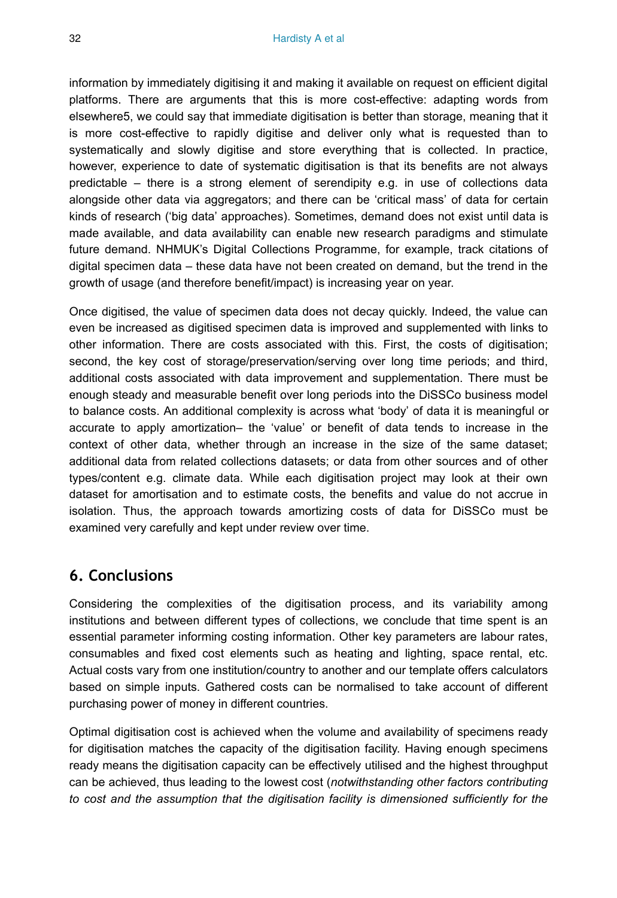information by immediately digitising it and making it available on request on efficient digital platforms. There are arguments that this is more cost-effective: adapting words from elsewhere5, we could say that immediate digitisation is better than storage, meaning that it is more cost-effective to rapidly digitise and deliver only what is requested than to systematically and slowly digitise and store everything that is collected. In practice, however, experience to date of systematic digitisation is that its benefits are not always predictable – there is a strong element of serendipity e.g. in use of collections data alongside other data via aggregators; and there can be 'critical mass' of data for certain kinds of research ('big data' approaches). Sometimes, demand does not exist until data is made available, and data availability can enable new research paradigms and stimulate future demand. NHMUK's Digital Collections Programme, for example, track citations of digital specimen data – these data have not been created on demand, but the trend in the growth of usage (and therefore benefit/impact) is increasing year on year.

Once digitised, the value of specimen data does not decay quickly. Indeed, the value can even be increased as digitised specimen data is improved and supplemented with links to other information. There are costs associated with this. First, the costs of digitisation; second, the key cost of storage/preservation/serving over long time periods; and third, additional costs associated with data improvement and supplementation. There must be enough steady and measurable benefit over long periods into the DiSSCo business model to balance costs. An additional complexity is across what 'body' of data it is meaningful or accurate to apply amortization– the 'value' or benefit of data tends to increase in the context of other data, whether through an increase in the size of the same dataset; additional data from related collections datasets; or data from other sources and of other types/content e.g. climate data. While each digitisation project may look at their own dataset for amortisation and to estimate costs, the benefits and value do not accrue in isolation. Thus, the approach towards amortizing costs of data for DiSSCo must be examined very carefully and kept under review over time.

# **6. Conclusions**

Considering the complexities of the digitisation process, and its variability among institutions and between different types of collections, we conclude that time spent is an essential parameter informing costing information. Other key parameters are labour rates, consumables and fixed cost elements such as heating and lighting, space rental, etc. Actual costs vary from one institution/country to another and our template offers calculators based on simple inputs. Gathered costs can be normalised to take account of different purchasing power of money in different countries.

Optimal digitisation cost is achieved when the volume and availability of specimens ready for digitisation matches the capacity of the digitisation facility. Having enough specimens ready means the digitisation capacity can be effectively utilised and the highest throughput can be achieved, thus leading to the lowest cost (*notwithstanding other factors contributing to cost and the assumption that the digitisation facility is dimensioned sufficiently for the*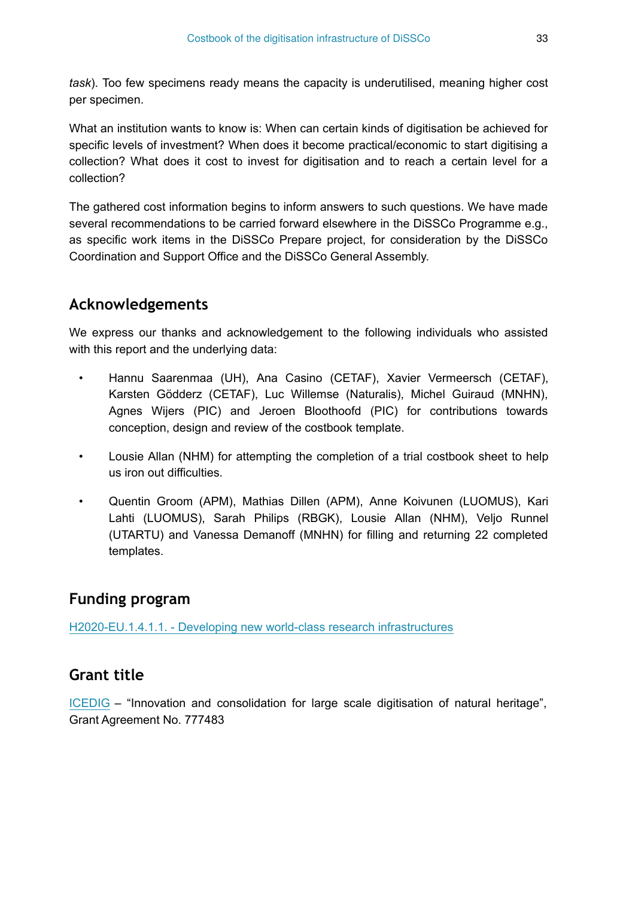*task*). Too few specimens ready means the capacity is underutilised, meaning higher cost per specimen.

What an institution wants to know is: When can certain kinds of digitisation be achieved for specific levels of investment? When does it become practical/economic to start digitising a collection? What does it cost to invest for digitisation and to reach a certain level for a collection?

The gathered cost information begins to inform answers to such questions. We have made several recommendations to be carried forward elsewhere in the DiSSCo Programme e.g., as specific work items in the DiSSCo Prepare project, for consideration by the DiSSCo Coordination and Support Office and the DiSSCo General Assembly.

# **Acknowledgements**

We express our thanks and acknowledgement to the following individuals who assisted with this report and the underlying data:

- Hannu Saarenmaa (UH), Ana Casino (CETAF), Xavier Vermeersch (CETAF), Karsten Gödderz (CETAF), Luc Willemse (Naturalis), Michel Guiraud (MNHN), Agnes Wijers (PIC) and Jeroen Bloothoofd (PIC) for contributions towards conception, design and review of the costbook template.
- Lousie Allan (NHM) for attempting the completion of a trial costbook sheet to help us iron out difficulties.
- Quentin Groom (APM), Mathias Dillen (APM), Anne Koivunen (LUOMUS), Kari Lahti (LUOMUS), Sarah Philips (RBGK), Lousie Allan (NHM), Veljo Runnel (UTARTU) and Vanessa Demanoff (MNHN) for filling and returning 22 completed templates.

# **Funding program**

[H2020-EU.1.4.1.1. - Developing new world-class research infrastructures](https://cordis.europa.eu/programme/id/H2020-EU.1.4.1.1.)

# **Grant title**

[ICEDIG](https://cordis.europa.eu/project/id/777483?rcn=4256) – "Innovation and consolidation for large scale digitisation of natural heritage", Grant Agreement No. 777483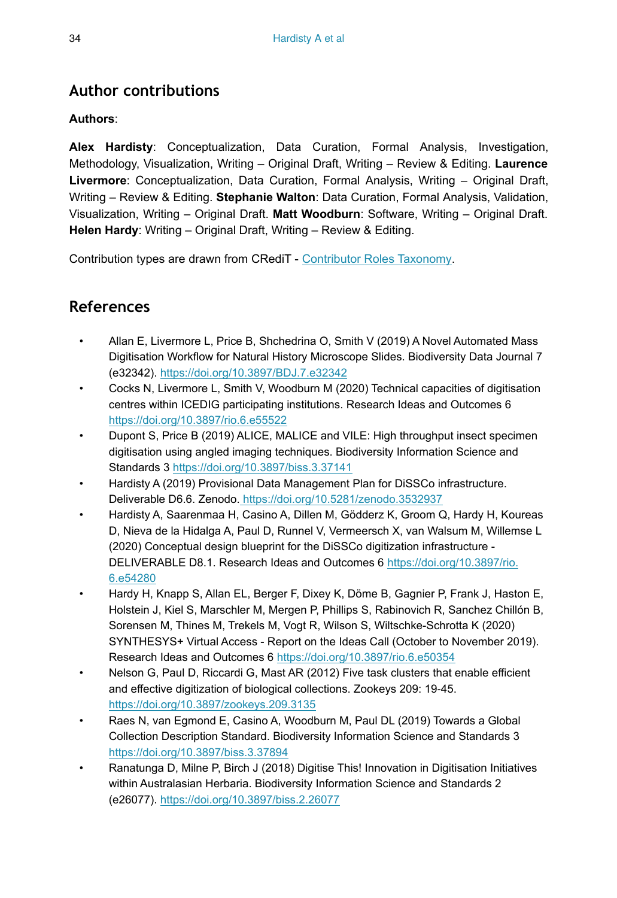# **Author contributions**

#### **Authors**:

**Alex Hardisty**: Conceptualization, Data Curation, Formal Analysis, Investigation, Methodology, Visualization, Writing – Original Draft, Writing – Review & Editing. **Laurence Livermore**: Conceptualization, Data Curation, Formal Analysis, Writing – Original Draft, Writing – Review & Editing. **Stephanie Walton**: Data Curation, Formal Analysis, Validation, Visualization, Writing – Original Draft. **Matt Woodburn**: Software, Writing – Original Draft. **Helen Hardy**: Writing – Original Draft, Writing – Review & Editing.

Contribution types are drawn from CRediT - [Contributor Roles Taxonomy](https://casrai.org/credit/).

# **References**

- Allan E, Livermore L, Price B, Shchedrina O, Smith V (2019) A Novel Automated Mass Digitisation Workflow for Natural History Microscope Slides. Biodiversity Data Journal 7 (e32342).<https://doi.org/10.3897/BDJ.7.e32342>
- Cocks N, Livermore L, Smith V, Woodburn M (2020) Technical capacities of digitisation centres within ICEDIG participating institutions. Research Ideas and Outcomes 6 <https://doi.org/10.3897/rio.6.e55522>
- Dupont S, Price B (2019) ALICE, MALICE and VILE: High throughput insect specimen digitisation using angled imaging techniques. Biodiversity Information Science and Standards 3 <https://doi.org/10.3897/biss.3.37141>
- Hardisty A (2019) Provisional Data Management Plan for DiSSCo infrastructure. Deliverable D6.6. Zenodo.<https://doi.org/10.5281/zenodo.3532937>
- Hardisty A, Saarenmaa H, Casino A, Dillen M, Gödderz K, Groom Q, Hardy H, Koureas D, Nieva de la Hidalga A, Paul D, Runnel V, Vermeersch X, van Walsum M, Willemse L (2020) Conceptual design blueprint for the DiSSCo digitization infrastructure - DELIVERABLE D8.1. Research Ideas and Outcomes 6 [https://doi.org/10.3897/rio.](https://doi.org/10.3897/rio.6.e54280) [6.e54280](https://doi.org/10.3897/rio.6.e54280)
- Hardy H, Knapp S, Allan EL, Berger F, Dixey K, Döme B, Gagnier P, Frank J, Haston E, Holstein J, Kiel S, Marschler M, Mergen P, Phillips S, Rabinovich R, Sanchez Chillón B, Sorensen M, Thines M, Trekels M, Vogt R, Wilson S, Wiltschke-Schrotta K (2020) SYNTHESYS+ Virtual Access - Report on the Ideas Call (October to November 2019). Research Ideas and Outcomes 6 <https://doi.org/10.3897/rio.6.e50354>
- Nelson G, Paul D, Riccardi G, Mast AR (2012) Five task clusters that enable efficient and effective digitization of biological collections. Zookeys 209: 19‑45. <https://doi.org/10.3897/zookeys.209.3135>
- Raes N, van Egmond E, Casino A, Woodburn M, Paul DL (2019) Towards a Global Collection Description Standard. Biodiversity Information Science and Standards 3 <https://doi.org/10.3897/biss.3.37894>
- Ranatunga D, Milne P, Birch J (2018) Digitise This! Innovation in Digitisation Initiatives within Australasian Herbaria. Biodiversity Information Science and Standards 2 (e26077).<https://doi.org/10.3897/biss.2.26077>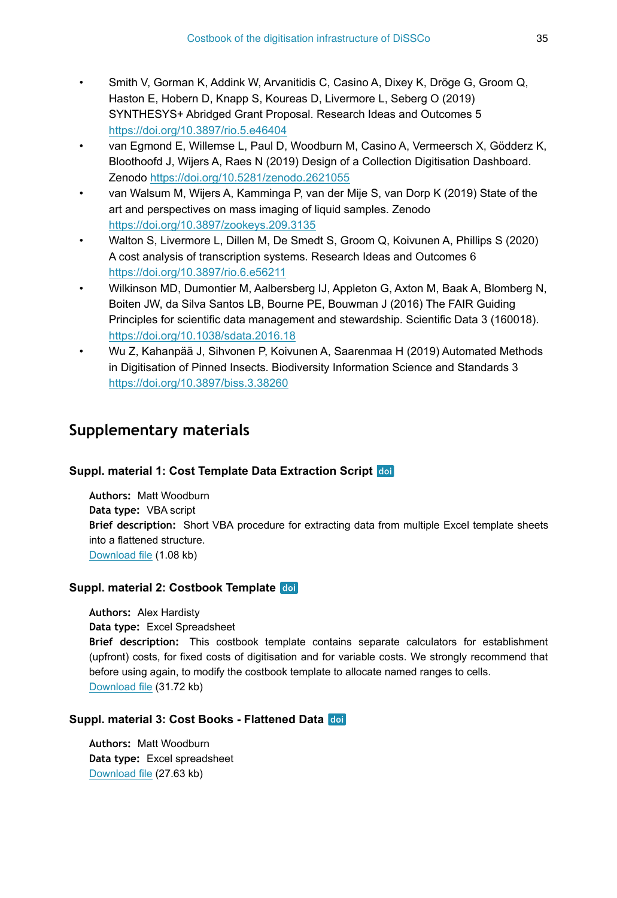- Smith V, Gorman K, Addink W, Arvanitidis C, Casino A, Dixey K, Dröge G, Groom Q, Haston E, Hobern D, Knapp S, Koureas D, Livermore L, Seberg O (2019) SYNTHESYS+ Abridged Grant Proposal. Research Ideas and Outcomes 5 <https://doi.org/10.3897/rio.5.e46404>
- van Egmond E, Willemse L, Paul D, Woodburn M, Casino A, Vermeersch X, Gödderz K, Bloothoofd J, Wijers A, Raes N (2019) Design of a Collection Digitisation Dashboard. Zenodo <https://doi.org/10.5281/zenodo.2621055>
- van Walsum M, Wijers A, Kamminga P, van der Mije S, van Dorp K (2019) State of the art and perspectives on mass imaging of liquid samples. Zenodo <https://doi.org/10.3897/zookeys.209.3135>
- Walton S, Livermore L, Dillen M, De Smedt S, Groom Q, Koivunen A, Phillips S (2020) A cost analysis of transcription systems. Research Ideas and Outcomes 6 <https://doi.org/10.3897/rio.6.e56211>
- Wilkinson MD, Dumontier M, Aalbersberg IJ, Appleton G, Axton M, Baak A, Blomberg N, Boiten JW, da Silva Santos LB, Bourne PE, Bouwman J (2016) The FAIR Guiding Principles for scientific data management and stewardship. Scientific Data 3 (160018). <https://doi.org/10.1038/sdata.2016.18>
- Wu Z, Kahanpää J, Sihvonen P, Koivunen A, Saarenmaa H (2019) Automated Methods in Digitisation of Pinned Insects. Biodiversity Information Science and Standards 3 <https://doi.org/10.3897/biss.3.38260>

# **Supplementary materials**

#### **Suppl. material 1: Cost Template Data Extraction Script**

**Authors:** Matt Woodburn **Data type:** VBA script **Brief description:** Short VBA procedure for extracting data from multiple Excel template sheets into a flattened structure. [Download file](https://arpha.pensoft.net/getfile.php?filename=oo_417898.txt) (1.08 kb)

#### **Suppl. material 2: Costbook Template**

**Authors:** Alex Hardisty **Data type:** Excel Spreadsheet **Brief description:** This costbook template contains separate calculators for establishment (upfront) costs, for fixed costs of digitisation and for variable costs. We strongly recommend that before using again, to modify the costbook template to allocate named ranges to cells. [Download file](https://arpha.pensoft.net/getfile.php?filename=oo_417899.xlsx) (31.72 kb)

#### **Suppl. material 3: Cost Books - Flattened Data**

**Authors:** Matt Woodburn **Data type:** Excel spreadsheet [Download file](https://arpha.pensoft.net/getfile.php?filename=oo_444909.xlsx) (27.63 kb)